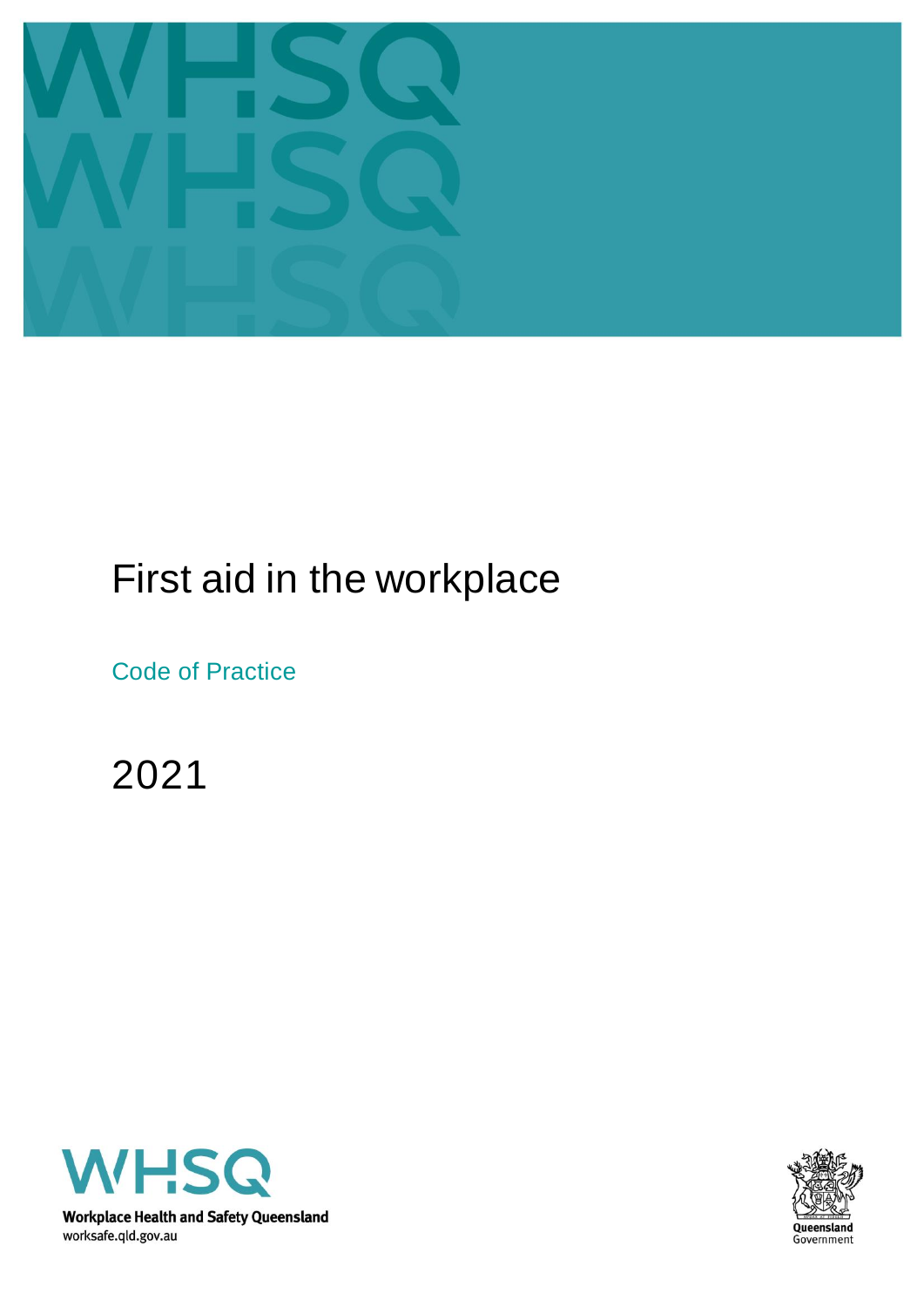

# First aid in the workplace

Code of Practice

2021



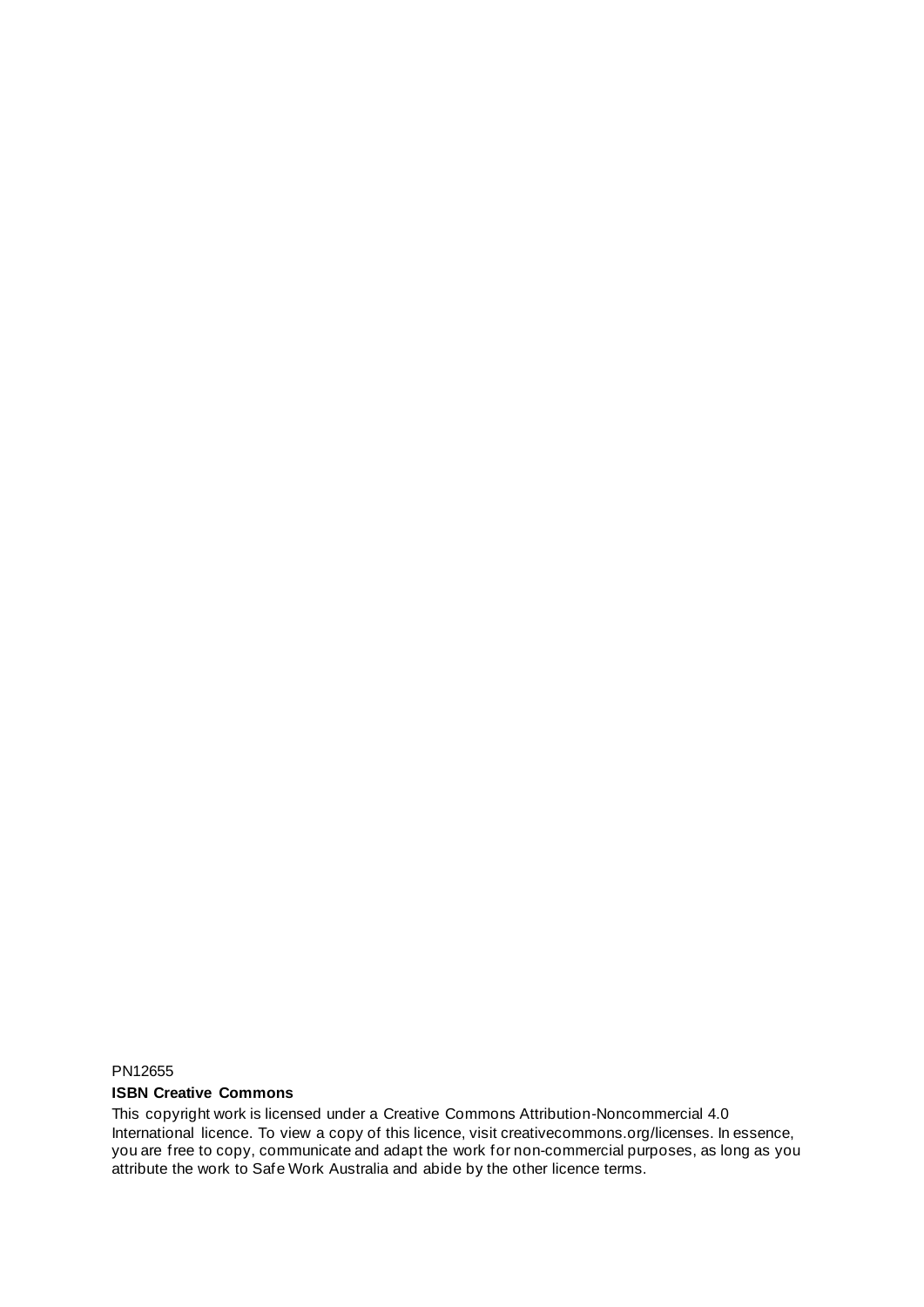PN12655

#### **ISBN Creative Commons**

This copyright work is licensed under a Creative Commons Attribution-Noncommercial 4.0 International licence. To view a copy of this licence, visit creativecommons.org/licenses. In essence, you are free to copy, communicate and adapt the work for non-commercial purposes, as long as you attribute the work to Safe Work Australia and abide by the other licence terms.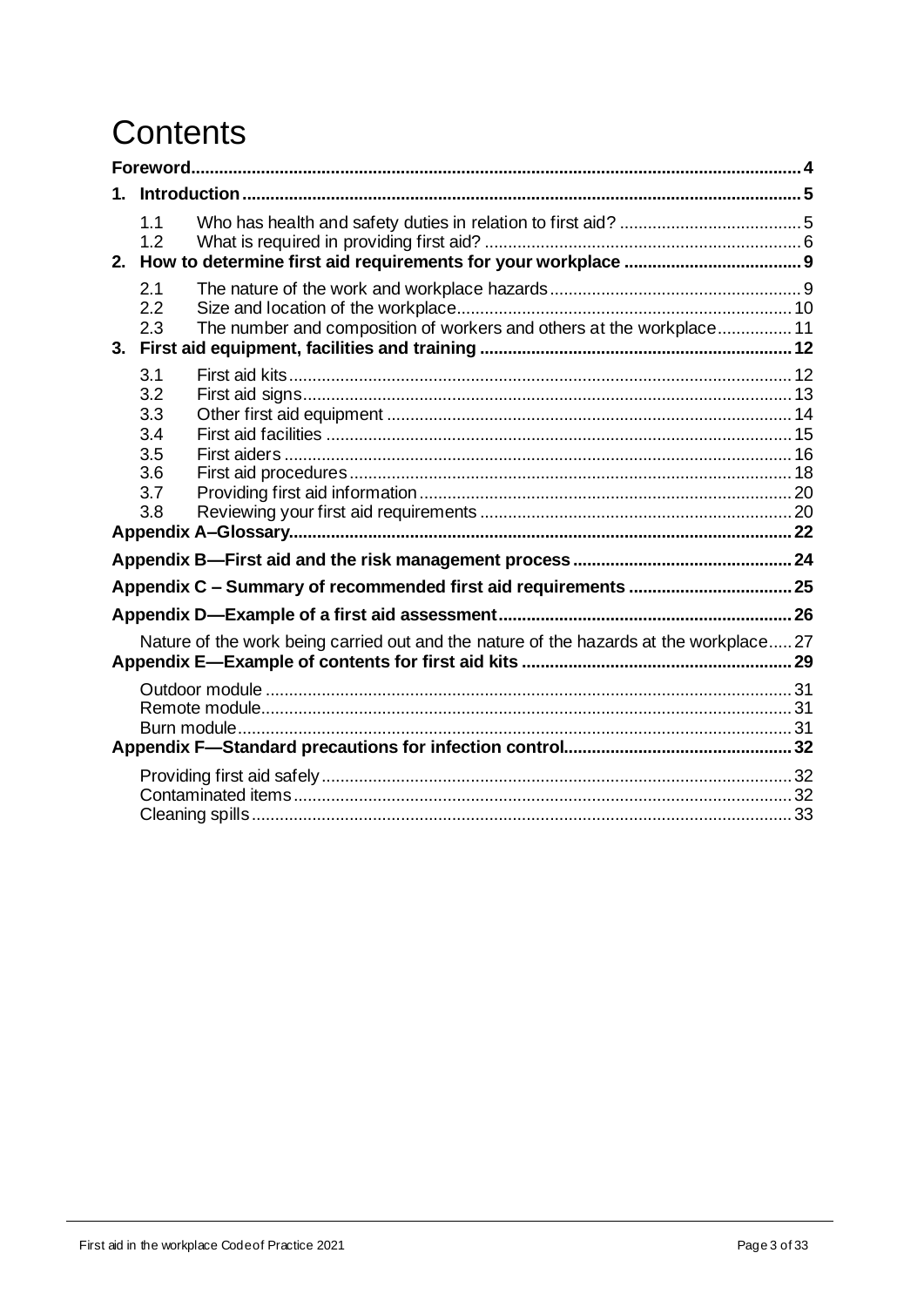# Contents

|  | 1.1<br>1.2                                                                                |  |  |
|--|-------------------------------------------------------------------------------------------|--|--|
|  | 2.1<br>2.2<br>The number and composition of workers and others at the workplace 11<br>2.3 |  |  |
|  | 3.1<br>3.2<br>3.3<br>3.4<br>3.5<br>3.6<br>3.7<br>3.8                                      |  |  |
|  |                                                                                           |  |  |
|  |                                                                                           |  |  |
|  |                                                                                           |  |  |
|  | Nature of the work being carried out and the nature of the hazards at the workplace 27    |  |  |
|  |                                                                                           |  |  |
|  |                                                                                           |  |  |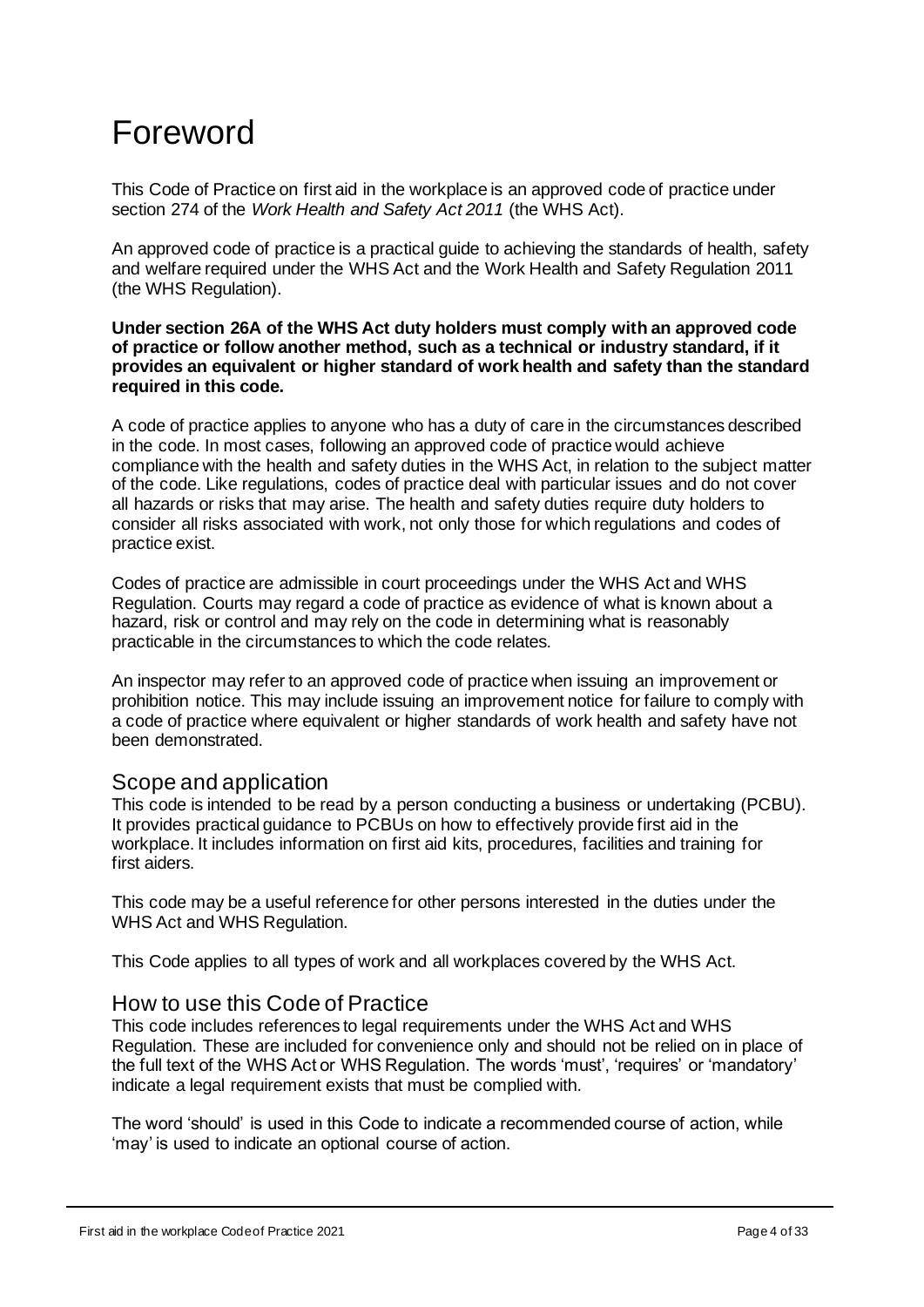# <span id="page-3-0"></span>Foreword

This Code of Practice on first aid in the workplace is an approved code of practice under section 274 of the *[Work Health and Safety Act](https://www.safeworkaustralia.gov.au/doc/model-work-health-and-safety-act) 2011* (the WHS Act).

An approved code of practice is a practical guide to achieving the standards of health, safety and welfare required under the WHS Act and the Work Health and Safety Regulation 2011 (the WHS Regulation).

**Under section 26A of the WHS Act duty holders must comply with an approved code of practice or follow another method, such as a technical or industry standard, if it provides an equivalent or higher standard of work health and safety than the standard required in this code.** 

A code of practice applies to anyone who has a duty of care in the circumstances described in the code. In most cases, following an approved code of practice would achieve compliance with the health and safety duties in the WHS Act, in relation to the subject matter of the code. Like regulations, codes of practice deal with particular issues and do not cover all hazards or risks that may arise. The health and safety duties require duty holders to consider all risks associated with work, not only those for which regulations and codes of practice exist.

Codes of practice are admissible in court proceedings under the WHS Act and WHS Regulation. Courts may regard a code of practice as evidence of what is known about a hazard, risk or control and may rely on the code in determining what is reasonably practicable in the circumstances to which the code relates.

An inspector may refer to an approved code of practice when issuing an improvement or prohibition notice. This may include issuing an improvement notice for failure to comply with a code of practice where equivalent or higher standards of work health and safety have not been demonstrated.

## Scope and application

This code is intended to be read by a person conducting a business or undertaking (PCBU). It provides practical guidance to PCBUs on how to effectively provide first aid in the workplace. It includes information on first aid kits, procedures, facilities and training for first aiders.

This code may be a useful reference for other persons interested in the duties under the WHS Act and WHS Regulation.

This Code applies to all types of work and all workplaces covered by the WHS Act.

### How to use this Code of Practice

This code includes references to legal requirements under the WHS Act and WHS Regulation. These are included for convenience only and should not be relied on in place of the full text of the WHS Act or WHS Regulation. The words 'must', 'requires' or 'mandatory' indicate a legal requirement exists that must be complied with.

The word 'should' is used in this Code to indicate a recommended course of action, while 'may' is used to indicate an optional course of action.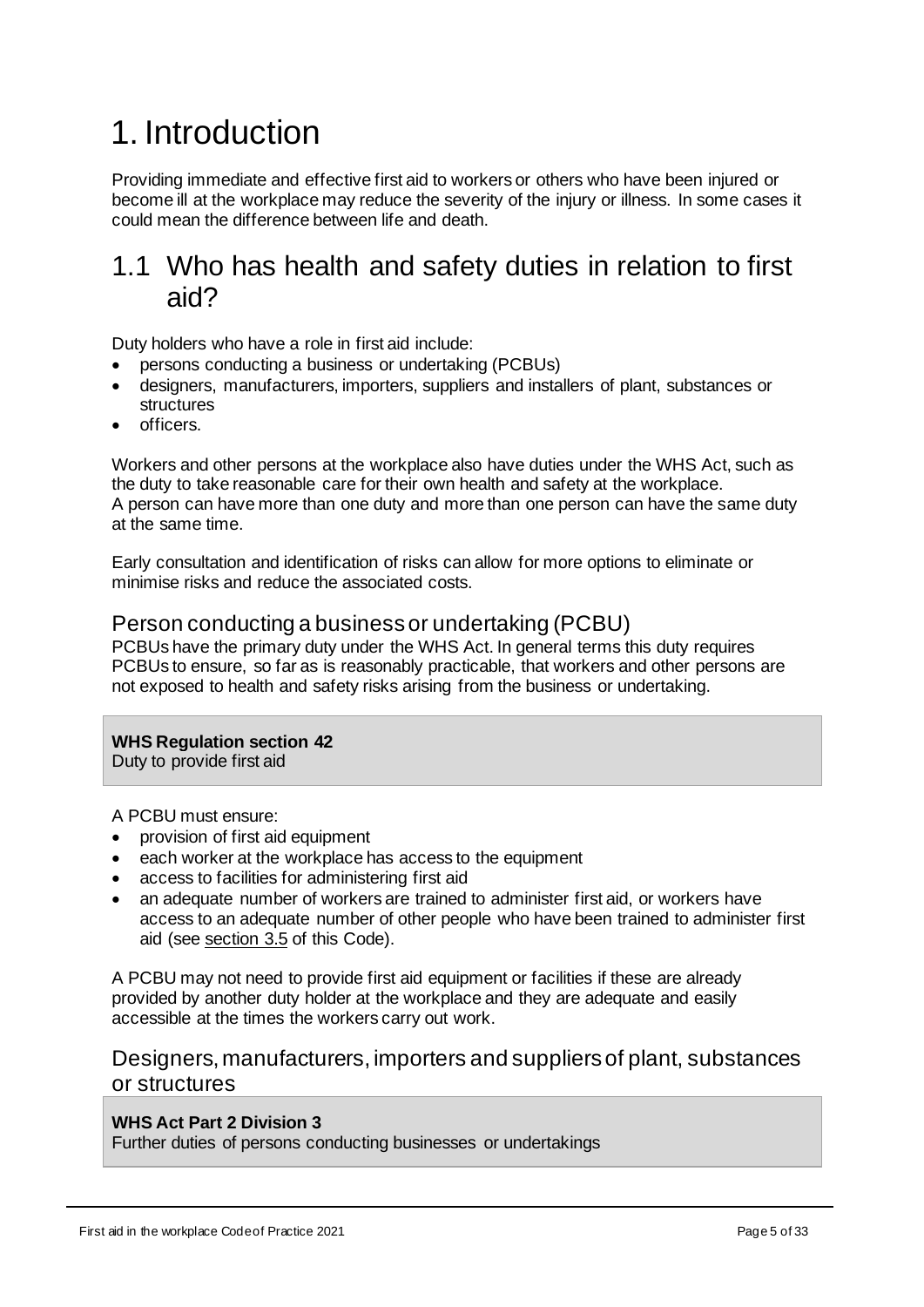# <span id="page-4-0"></span>1. Introduction

Providing immediate and effective first aid to workers or others who have been injured or become ill at the workplace may reduce the severity of the injury or illness. In some cases it could mean the difference between life and death.

# <span id="page-4-1"></span>1.1 Who has health and safety duties in relation to first aid?

Duty holders who have a role in first aid include:

- persons conducting a business or undertaking (PCBUs)
- designers, manufacturers, importers, suppliers and installers of plant, substances or structures
- officers.

Workers and other persons at the workplace also have duties under the WHS Act, such as the duty to take reasonable care for their own health and safety at the workplace. A person can have more than one duty and more than one person can have the same duty at the same time.

Early consultation and identification of risks can allow for more options to eliminate or minimise risks and reduce the associated costs.

### Person conducting a business or undertaking (PCBU)

PCBUs have the primary duty under the WHS Act. In general terms this duty requires PCBUs to ensure, so far as is reasonably practicable, that workers and other persons are not exposed to health and safety risks arising from the business or undertaking.

#### **WHS Regulation section 42**

Duty to provide first aid

A PCBU must ensure:

- provision of first aid equipment
- each worker at the workplace has access to the equipment
- access to facilities for administering first aid
- an adequate number of workers are trained to administer first aid, or workers have access to an adequate number of other people who have been trained to administer first aid (see [section 3.5](#page-15-0) of this Code).

A PCBU may not need to provide first aid equipment or facilities if these are already provided by another duty holder at the workplace and they are adequate and easily accessible at the times the workers carry out work.

## Designers, manufacturers, importers and suppliers of plant, substances or structures

#### **WHS Act Part 2 Division 3**

Further duties of persons conducting businesses or undertakings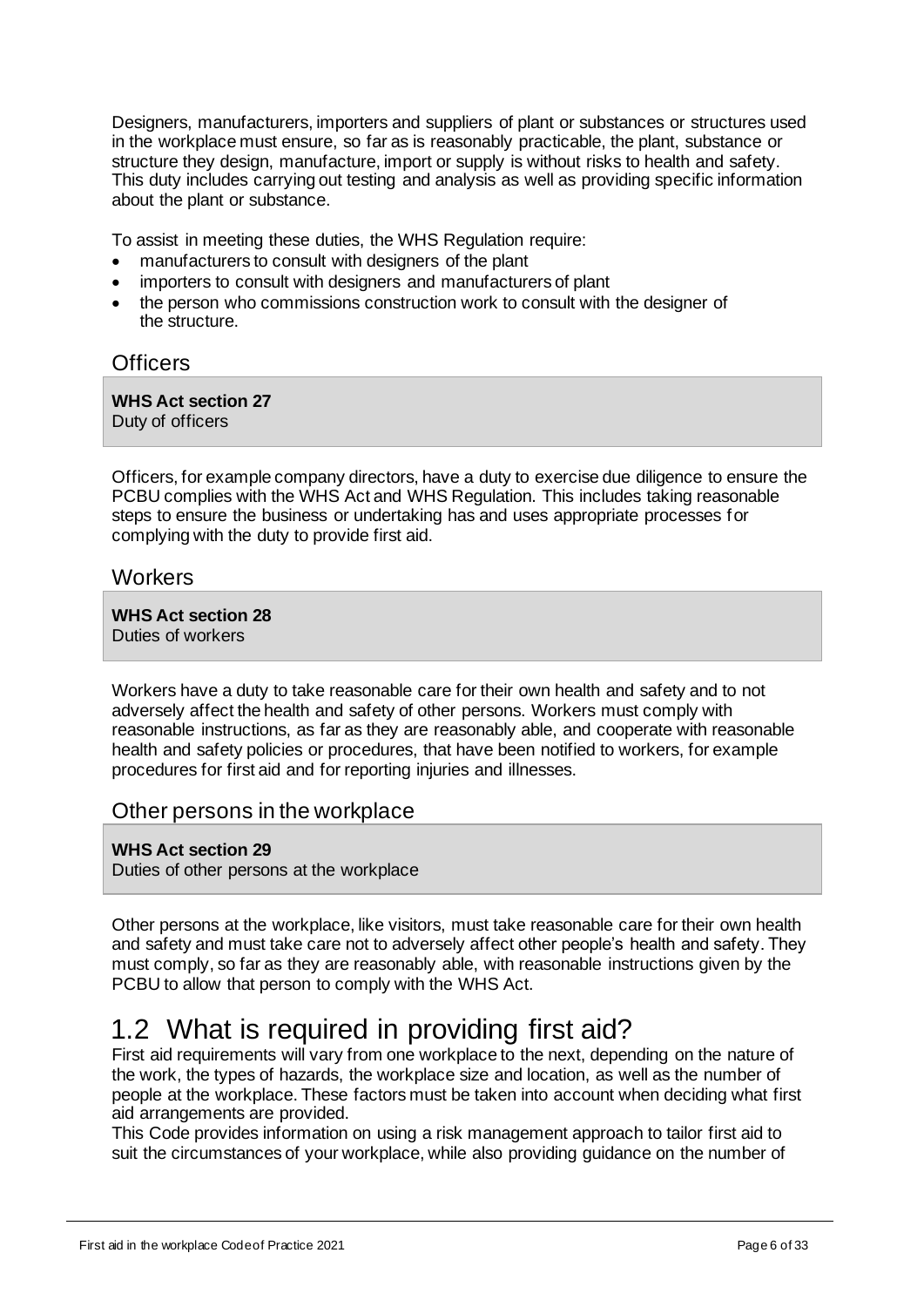Designers, manufacturers, importers and suppliers of plant or substances or structures used in the workplace must ensure, so far as is reasonably practicable, the plant, substance or structure they design, manufacture, import or supply is without risks to health and safety. This duty includes carrying out testing and analysis as well as providing specific information about the plant or substance.

To assist in meeting these duties, the WHS Regulation require:

- manufacturers to consult with designers of the plant
- importers to consult with designers and manufacturers of plant
- the person who commissions construction work to consult with the designer of the structure.

### **Officers**

**WHS Act section 27** Duty of officers

Officers, for example company directors, have a duty to exercise due diligence to ensure the PCBU complies with the WHS Act and WHS Regulation. This includes taking reasonable steps to ensure the business or undertaking has and uses appropriate processes for complying with the duty to provide first aid.

#### **Workers**

**WHS Act section 28** Duties of workers

Workers have a duty to take reasonable care for their own health and safety and to not adversely affect the health and safety of other persons. Workers must comply with reasonable instructions, as far as they are reasonably able, and cooperate with reasonable health and safety policies or procedures, that have been notified to workers, for example procedures for first aid and for reporting injuries and illnesses.

#### Other persons in the workplace

**WHS Act section 29** Duties of other persons at the workplace

Other persons at the workplace, like visitors, must take reasonable care for their own health and safety and must take care not to adversely affect other people's health and safety. They must comply, so far as they are reasonably able, with reasonable instructions given by the PCBU to allow that person to comply with the WHS Act.

# <span id="page-5-0"></span>1.2 What is required in providing first aid?

First aid requirements will vary from one workplace to the next, depending on the nature of the work, the types of hazards, the workplace size and location, as well as the number of people at the workplace. These factors must be taken into account when deciding what first aid arrangements are provided.

This Code provides information on using a risk management approach to tailor first aid to suit the circumstances of your workplace, while also providing guidance on the number of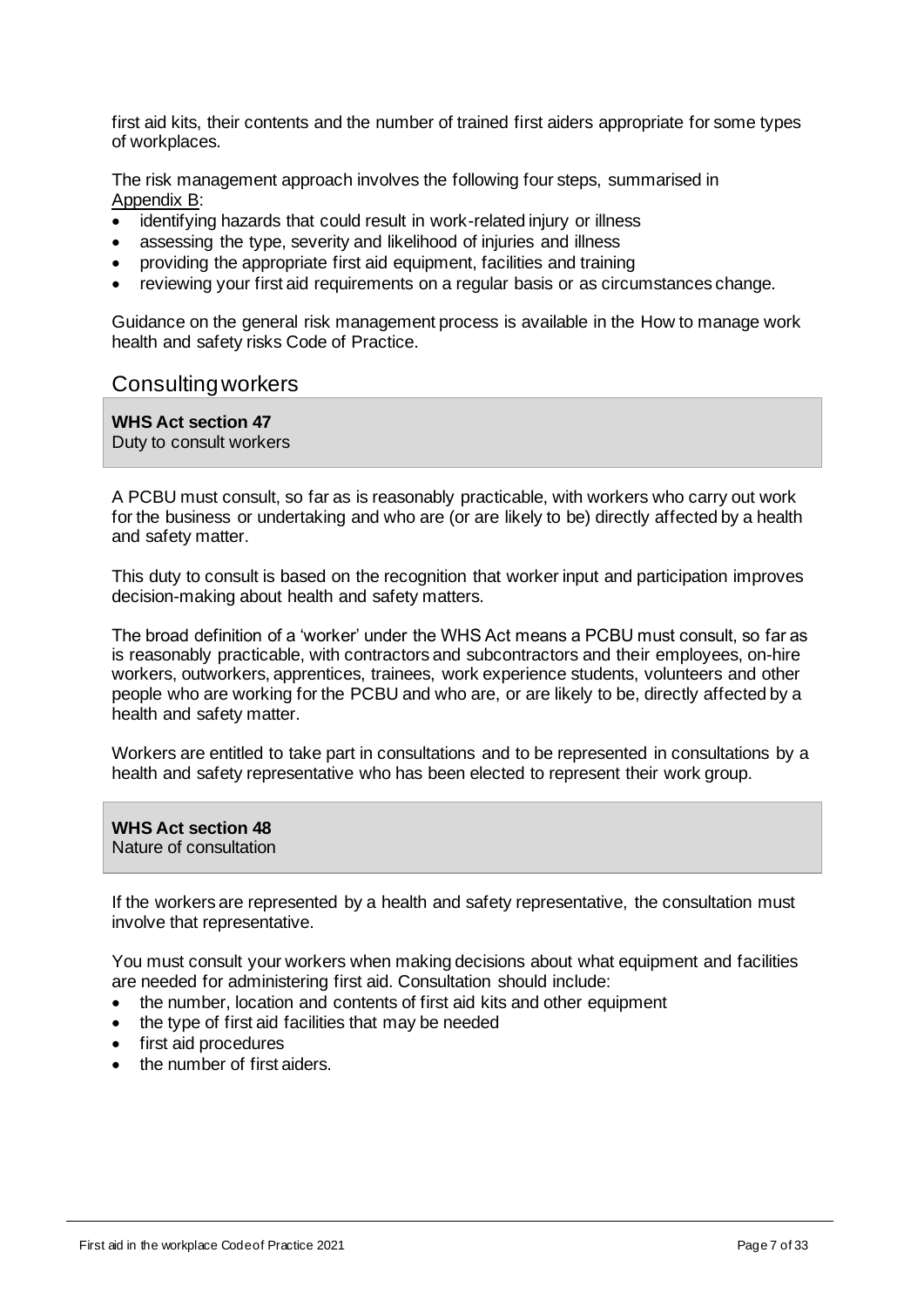first aid kits, their contents and the number of trained first aiders appropriate for some types of workplaces.

The risk management approach involves the following four steps, summarised in [Appendix](#page-23-0) B:

- identifying hazards that could result in work-related injury or illness
- assessing the type, severity and likelihood of injuries and illness
- providing the appropriate first aid equipment, facilities and training
- reviewing your first aid requirements on a regular basis or as circumstances change.

Guidance on the general risk management process is available in the How to manage work health and safety risks Code of Practice.

#### Consulting workers

**WHS Act section 47** Duty to consult workers

A PCBU must consult, so far as is reasonably practicable, with workers who carry out work for the business or undertaking and who are (or are likely to be) directly affected by a health and safety matter.

This duty to consult is based on the recognition that worker input and participation improves decision-making about health and safety matters.

The broad definition of a 'worker' under the WHS Act means a PCBU must consult, so far as is reasonably practicable, with contractors and subcontractors and their employees, on-hire workers, outworkers, apprentices, trainees, work experience students, volunteers and other people who are working for the PCBU and who are, or are likely to be, directly affected by a health and safety matter.

Workers are entitled to take part in consultations and to be represented in consultations by a health and safety representative who has been elected to represent their work group.

**WHS Act section 48**  Nature of consultation

If the workers are represented by a health and safety representative, the consultation must involve that representative.

You must consult your workers when making decisions about what equipment and facilities are needed for administering first aid. Consultation should include:

- the number, location and contents of first aid kits and other equipment
- the type of first aid facilities that may be needed
- first aid procedures
- the number of first aiders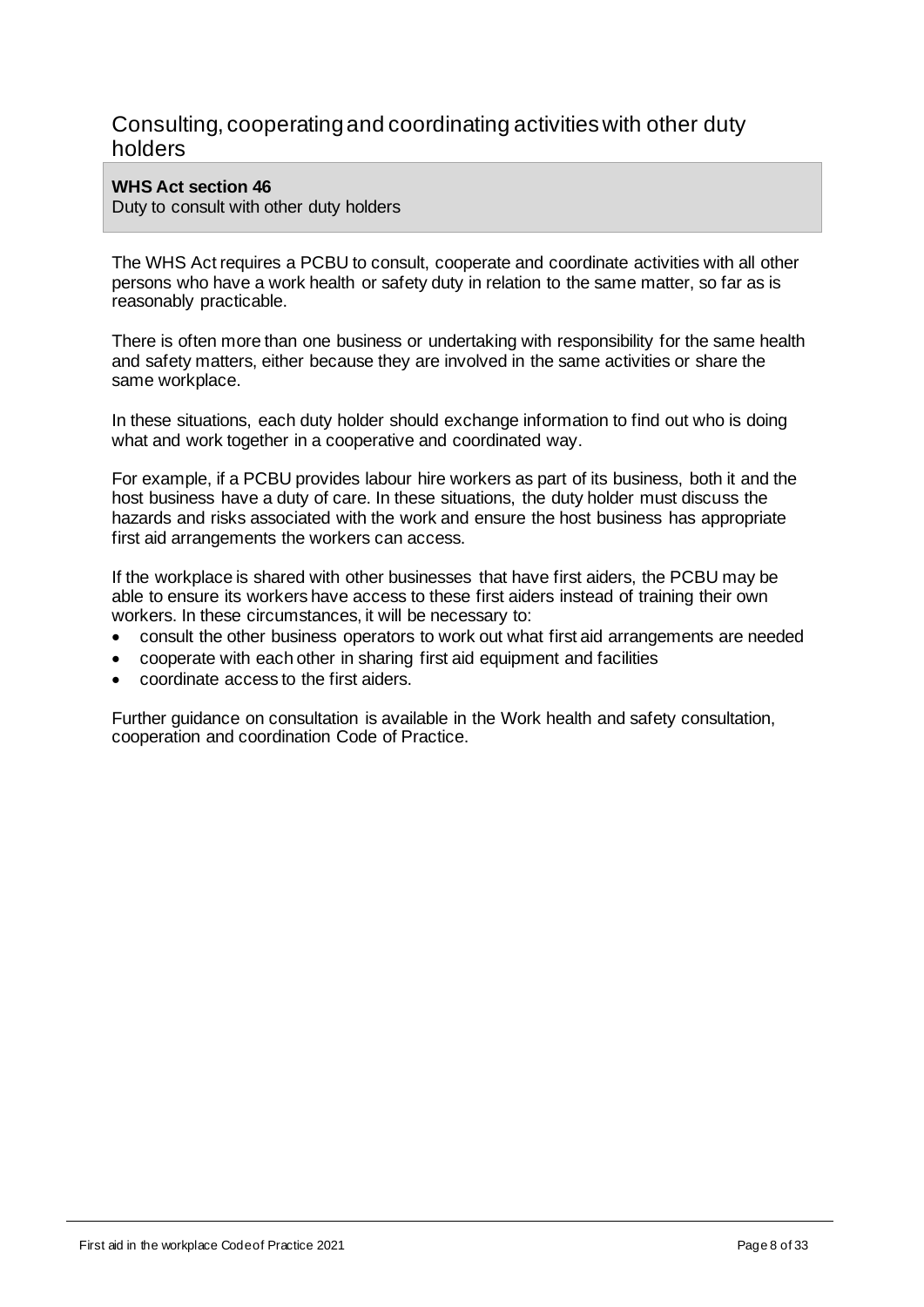## Consulting, cooperating and coordinating activities with other duty holders

#### **WHS Act section 46**

Duty to consult with other duty holders

The WHS Act requires a PCBU to consult, cooperate and coordinate activities with all other persons who have a work health or safety duty in relation to the same matter, so far as is reasonably practicable.

There is often more than one business or undertaking with responsibility for the same health and safety matters, either because they are involved in the same activities or share the same workplace.

In these situations, each duty holder should exchange information to find out who is doing what and work together in a cooperative and coordinated way.

For example, if a PCBU provides labour hire workers as part of its business, both it and the host business have a duty of care. In these situations, the duty holder must discuss the hazards and risks associated with the work and ensure the host business has appropriate first aid arrangements the workers can access.

If the workplace is shared with other businesses that have first aiders, the PCBU may be able to ensure its workers have access to these first aiders instead of training their own workers. In these circumstances, it will be necessary to:

- consult the other business operators to work out what first aid arrangements are needed
- cooperate with each other in sharing first aid equipment and facilities
- coordinate access to the first aiders.

Further guidance on consultation is available in the Work health and safety consultation, cooperation and coordination Code of Practice.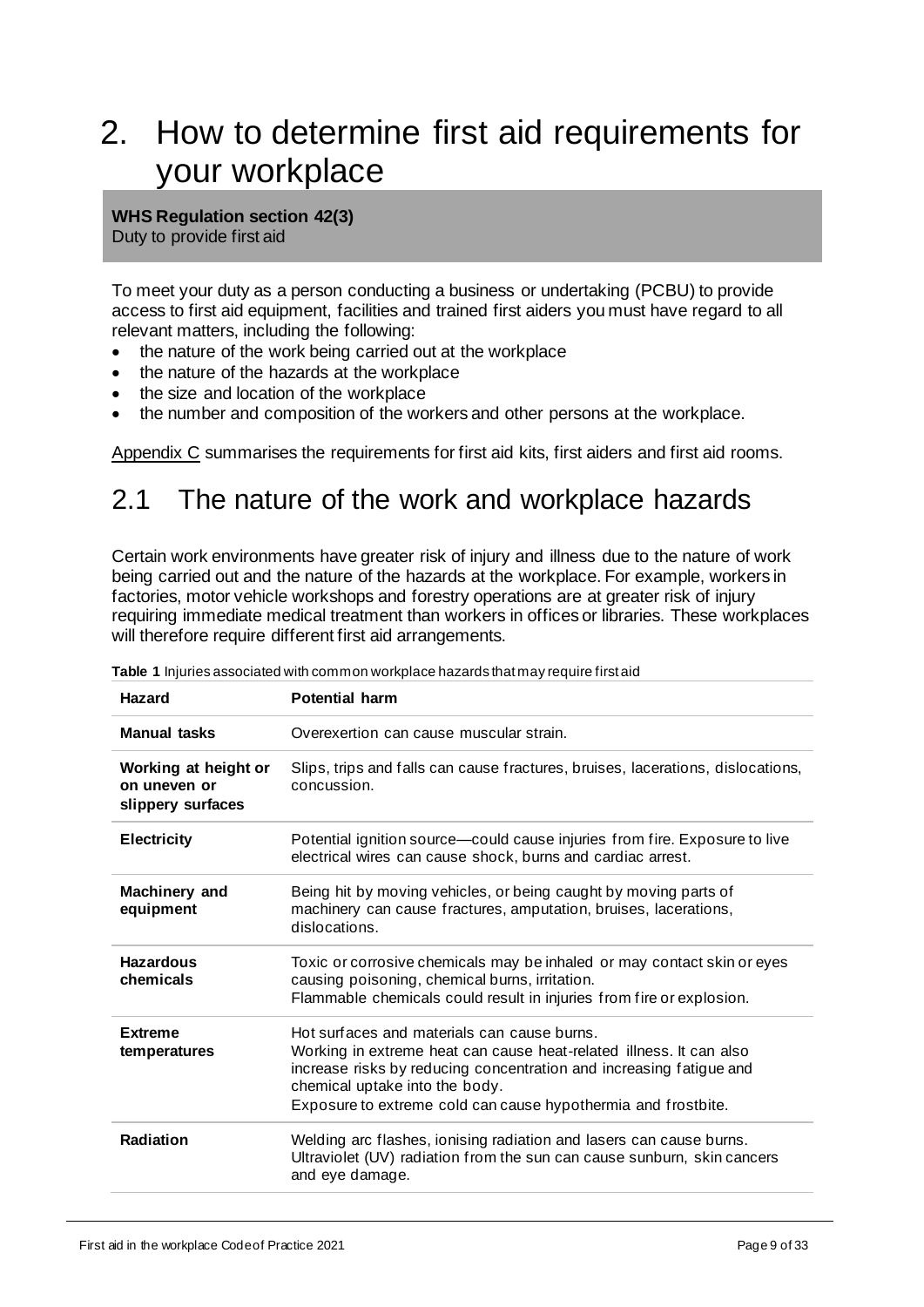# <span id="page-8-0"></span>2. How to determine first aid requirements for your workplace

**WHS Regulation section 42(3)**

Duty to provide first aid

To meet your duty as a person conducting a business or undertaking (PCBU) to provide access to first aid equipment, facilities and trained first aiders you must have regard to all relevant matters, including the following:

- the nature of the work being carried out at the workplace
- the nature of the hazards at the workplace
- the size and location of the workplace
- the number and composition of the workers and other persons at the workplace.

[Appendix C](#page-24-0) summarises the requirements for first aid kits, first aiders and first aid rooms.

# <span id="page-8-1"></span>2.1 The nature of the work and workplace hazards

Certain work environments have greater risk of injury and illness due to the nature of work being carried out and the nature of the hazards at the workplace. For example, workers in factories, motor vehicle workshops and forestry operations are at greater risk of injury requiring immediate medical treatment than workers in offices or libraries. These workplaces will therefore require different first aid arrangements.

| <b>Hazard</b>                                             | <b>Potential harm</b>                                                                                                                                                                                                                                                                        |  |  |
|-----------------------------------------------------------|----------------------------------------------------------------------------------------------------------------------------------------------------------------------------------------------------------------------------------------------------------------------------------------------|--|--|
| <b>Manual tasks</b>                                       | Overexertion can cause muscular strain.                                                                                                                                                                                                                                                      |  |  |
| Working at height or<br>on uneven or<br>slippery surfaces | Slips, trips and falls can cause fractures, bruises, lacerations, dislocations,<br>concussion.                                                                                                                                                                                               |  |  |
| <b>Electricity</b>                                        | Potential ignition source-could cause injuries from fire. Exposure to live<br>electrical wires can cause shock, burns and cardiac arrest.                                                                                                                                                    |  |  |
| Machinery and<br>equipment                                | Being hit by moving vehicles, or being caught by moving parts of<br>machinery can cause fractures, amputation, bruises, lacerations,<br>dislocations.                                                                                                                                        |  |  |
| <b>Hazardous</b><br>chemicals                             | Toxic or corrosive chemicals may be inhaled or may contact skin or eyes<br>causing poisoning, chemical burns, irritation.<br>Flammable chemicals could result in injuries from fire or explosion.                                                                                            |  |  |
| <b>Extreme</b><br>temperatures                            | Hot surfaces and materials can cause burns.<br>Working in extreme heat can cause heat-related illness. It can also<br>increase risks by reducing concentration and increasing fatigue and<br>chemical uptake into the body.<br>Exposure to extreme cold can cause hypothermia and frostbite. |  |  |
| Radiation                                                 | Welding arc flashes, ionising radiation and lasers can cause burns.<br>Ultraviolet (UV) radiation from the sun can cause sunburn, skin cancers<br>and eye damage.                                                                                                                            |  |  |

**Table 1** Injuries associated with common workplace hazards that may require first aid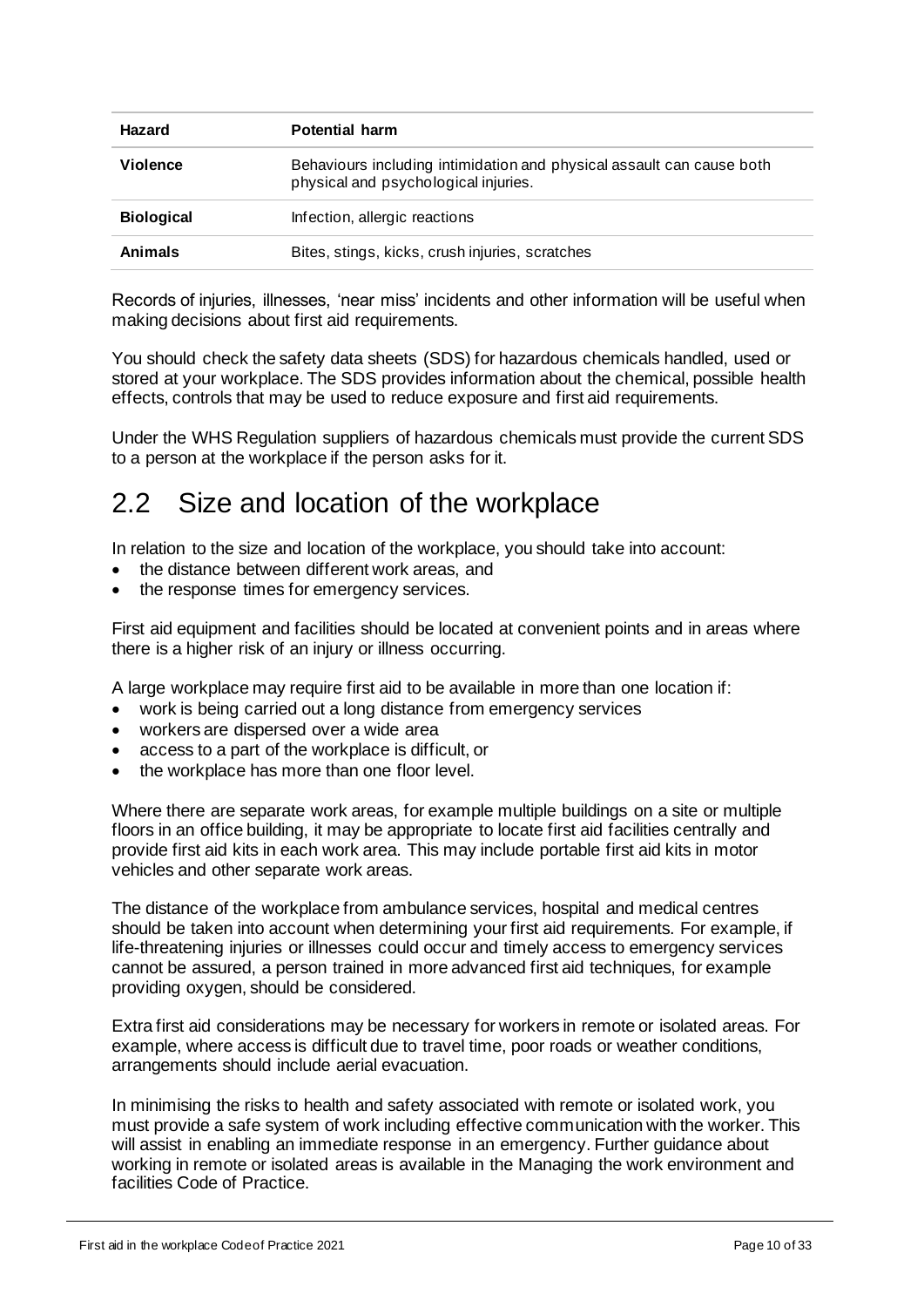| Hazard<br><b>Potential harm</b> |                                                                                                               |
|---------------------------------|---------------------------------------------------------------------------------------------------------------|
| <b>Violence</b>                 | Behaviours including intimidation and physical assault can cause both<br>physical and psychological injuries. |
| <b>Biological</b>               | Infection, allergic reactions                                                                                 |
| <b>Animals</b>                  | Bites, stings, kicks, crush injuries, scratches                                                               |

Records of injuries, illnesses, 'near miss' incidents and other information will be useful when making decisions about first aid requirements.

You should check the safety data sheets (SDS) for hazardous chemicals handled, used or stored at your workplace. The SDS provides information about the chemical, possible health effects, controls that may be used to reduce exposure and first aid requirements.

Under the WHS Regulation suppliers of hazardous chemicals must provide the current SDS to a person at the workplace if the person asks for it.

# <span id="page-9-0"></span>2.2 Size and location of the workplace

In relation to the size and location of the workplace, you should take into account:

- the distance between different work areas, and
- the response times for emergency services.

First aid equipment and facilities should be located at convenient points and in areas where there is a higher risk of an injury or illness occurring.

A large workplace may require first aid to be available in more than one location if:

- work is being carried out a long distance from emergency services
- workers are dispersed over a wide area
- access to a part of the workplace is difficult, or
- the workplace has more than one floor level.

Where there are separate work areas, for example multiple buildings on a site or multiple floors in an office building, it may be appropriate to locate first aid facilities centrally and provide first aid kits in each work area. This may include portable first aid kits in motor vehicles and other separate work areas.

The distance of the workplace from ambulance services, hospital and medical centres should be taken into account when determining your first aid requirements. For example, if life-threatening injuries or illnesses could occur and timely access to emergency services cannot be assured, a person trained in more advanced first aid techniques, for example providing oxygen, should be considered.

Extra first aid considerations may be necessary for workers in remote or isolated areas. For example, where access is difficult due to travel time, poor roads or weather conditions, arrangements should include aerial evacuation.

In minimising the risks to health and safety associated with remote or isolated work, you must provide a safe system of work including effective communication with the worker. This will assist in enabling an immediate response in an emergency. Further guidance about working in remote or isolated areas is available in the Managing the work environment and facilities Code of Practice.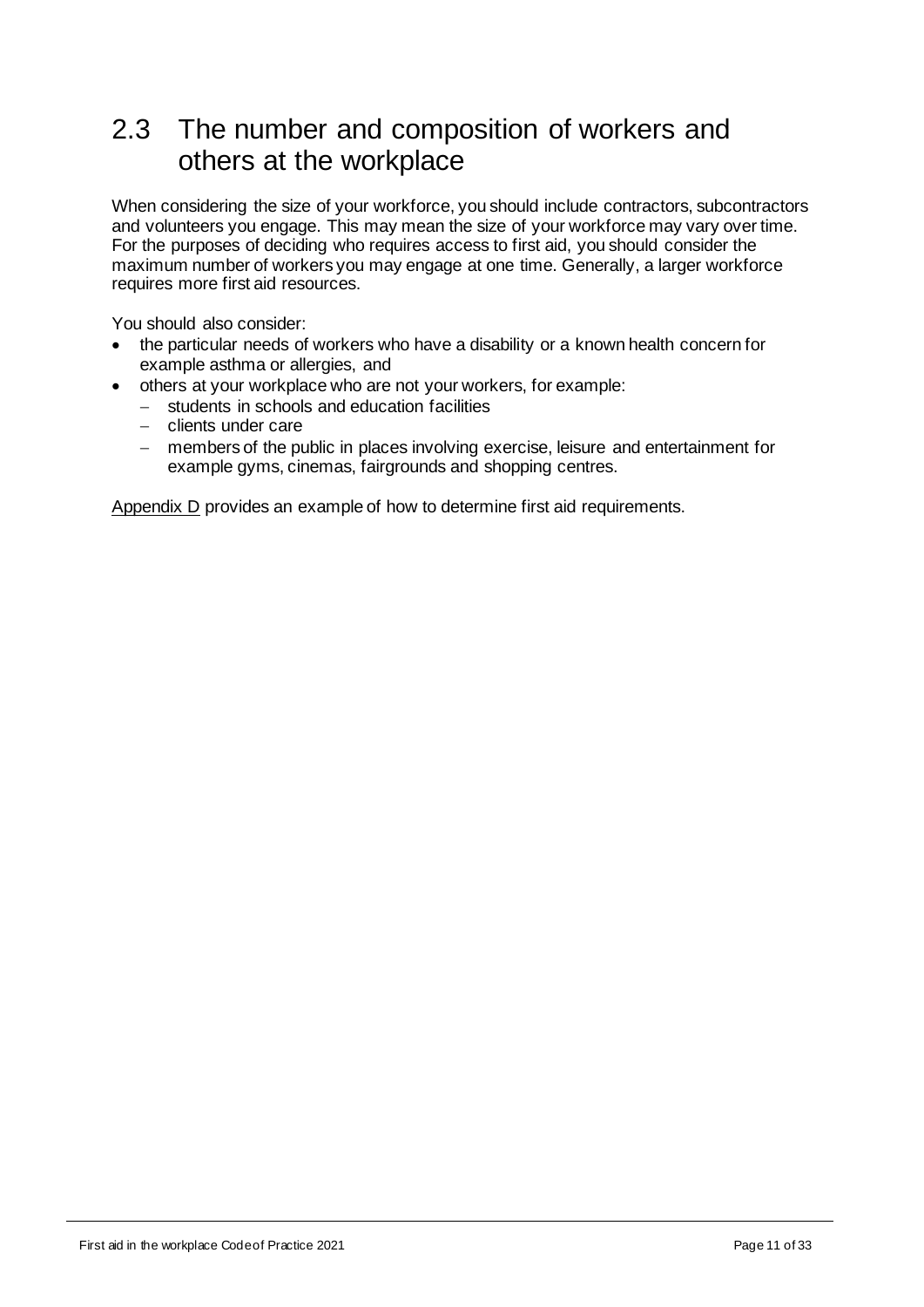# <span id="page-10-0"></span>2.3 The number and composition of workers and others at the workplace

When considering the size of your workforce, you should include contractors, subcontractors and volunteers you engage. This may mean the size of your workforce may vary over time. For the purposes of deciding who requires access to first aid, you should consider the maximum number of workers you may engage at one time. Generally, a larger workforce requires more first aid resources.

You should also consider:

- the particular needs of workers who have a disability or a known health concern for example asthma or allergies, and
- others at your workplace who are not your workers, for example:
	- − students in schools and education facilities
	- − clients under care
	- − members of the public in places involving exercise, leisure and entertainment for example gyms, cinemas, fairgrounds and shopping centres.

[Appendix D](#page-25-0) provides an example of how to determine first aid requirements.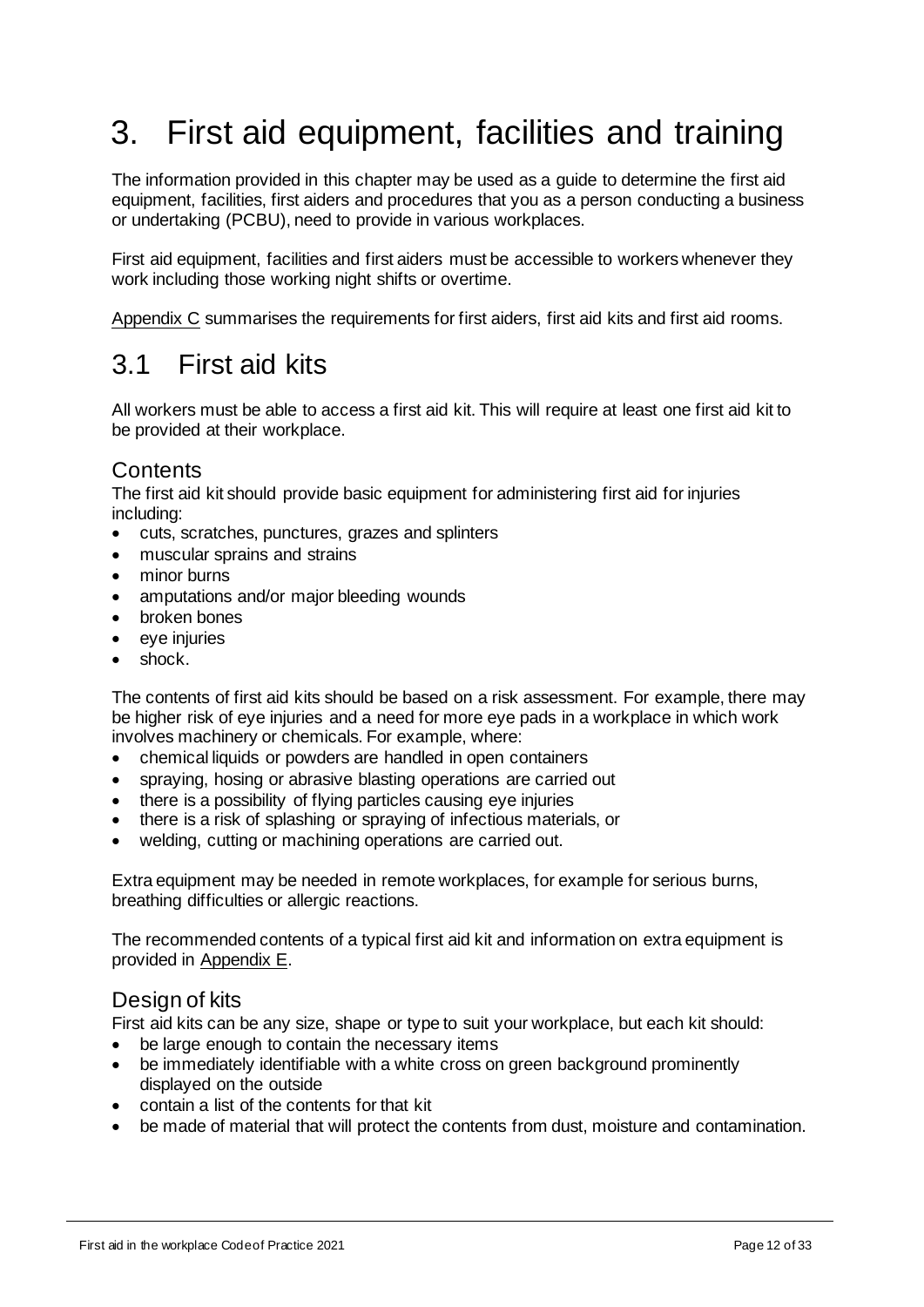# <span id="page-11-0"></span>3. First aid equipment, facilities and training

The information provided in this chapter may be used as a guide to determine the first aid equipment, facilities, first aiders and procedures that you as a person conducting a business or undertaking (PCBU), need to provide in various workplaces.

First aid equipment, facilities and first aiders must be accessible to workers whenever they work including those working night shifts or overtime.

[Appendix C](#page-24-0) summarises the requirements for first aiders, first aid kits and first aid rooms.

# <span id="page-11-1"></span>3.1 First aid kits

All workers must be able to access a first aid kit. This will require at least one first aid kit to be provided at their workplace.

## **Contents**

The first aid kit should provide basic equipment for administering first aid for injuries including:

- cuts, scratches, punctures, grazes and splinters
- muscular sprains and strains
- minor burns
- amputations and/or major bleeding wounds
- broken bones
- eye injuries
- shock.

The contents of first aid kits should be based on a risk assessment. For example, there may be higher risk of eye injuries and a need for more eye pads in a workplace in which work involves machinery or chemicals. For example, where:

- chemical liquids or powders are handled in open containers
- spraying, hosing or abrasive blasting operations are carried out
- there is a possibility of flying particles causing eye injuries
- there is a risk of splashing or spraying of infectious materials, or
- welding, cutting or machining operations are carried out.

Extra equipment may be needed in remote workplaces, for example for serious burns, breathing difficulties or allergic reactions.

The recommended contents of a typical first aid kit and information on extra equipment is provided in [Appendix](#page-28-0) E.

## Design of kits

First aid kits can be any size, shape or type to suit your workplace, but each kit should:

- be large enough to contain the necessary items
- be immediately identifiable with a white cross on green background prominently displayed on the outside
- contain a list of the contents for that kit
- be made of material that will protect the contents from dust, moisture and contamination.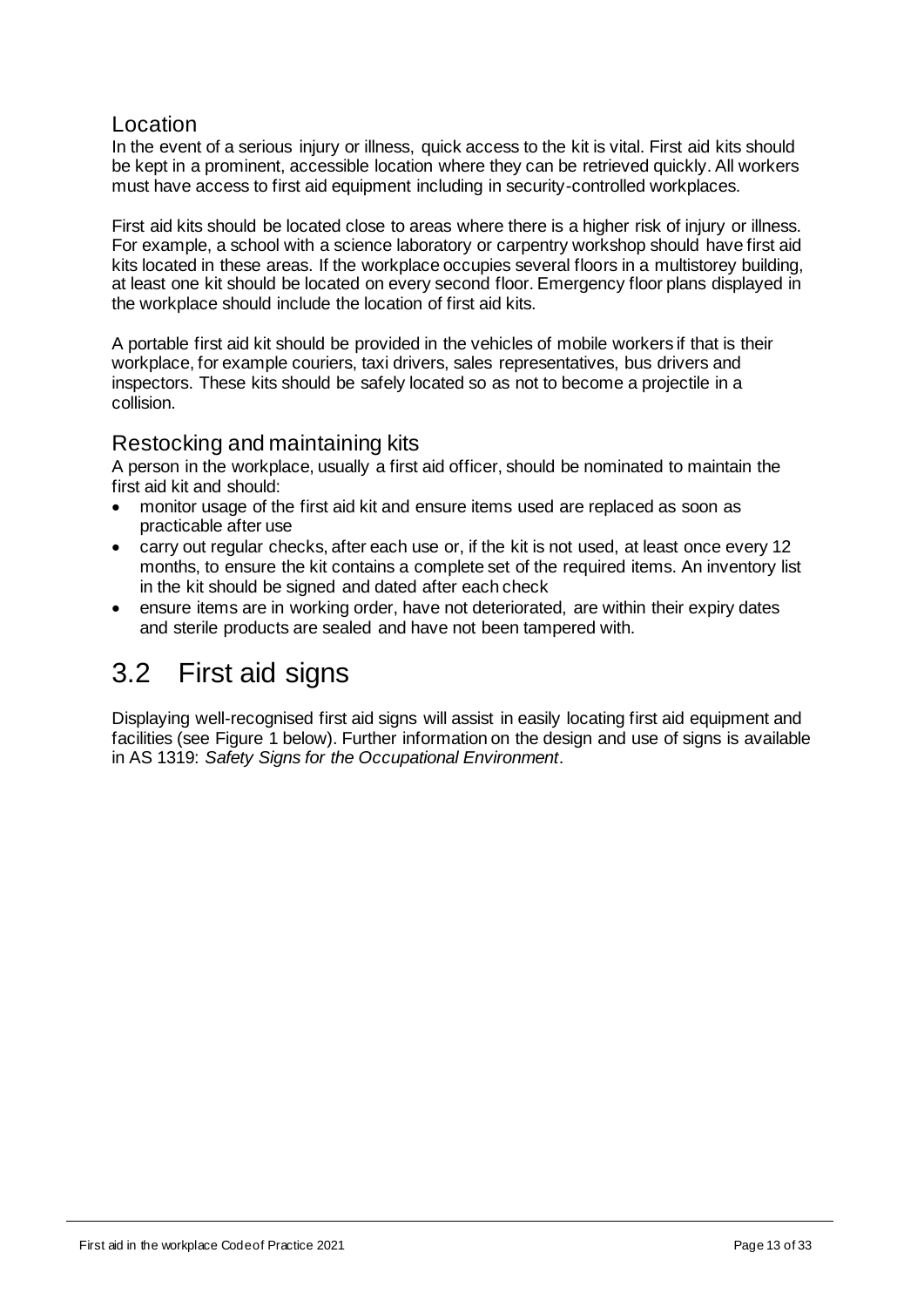## Location

In the event of a serious injury or illness, quick access to the kit is vital. First aid kits should be kept in a prominent, accessible location where they can be retrieved quickly. All workers must have access to first aid equipment including in security-controlled workplaces.

First aid kits should be located close to areas where there is a higher risk of injury or illness. For example, a school with a science laboratory or carpentry workshop should have first aid kits located in these areas. If the workplace occupies several floors in a multistorey building, at least one kit should be located on every second floor. Emergency floor plans displayed in the workplace should include the location of first aid kits.

A portable first aid kit should be provided in the vehicles of mobile workers if that is their workplace, for example couriers, taxi drivers, sales representatives, bus drivers and inspectors. These kits should be safely located so as not to become a projectile in a collision.

## Restocking and maintaining kits

A person in the workplace, usually a first aid officer, should be nominated to maintain the first aid kit and should:

- monitor usage of the first aid kit and ensure items used are replaced as soon as practicable after use
- carry out regular checks, after each use or, if the kit is not used, at least once every 12 months, to ensure the kit contains a complete set of the required items. An inventory list in the kit should be signed and dated after each check
- ensure items are in working order, have not deteriorated, are within their expiry dates and sterile products are sealed and have not been tampered with.

# <span id="page-12-0"></span>3.2 First aid signs

Displaying well-recognised first aid signs will assist in easily locating first aid equipment and facilities (see Figure 1 below). Further information on the design and use of signs is available in AS 1319: *Safety Signs for the Occupational Environment*.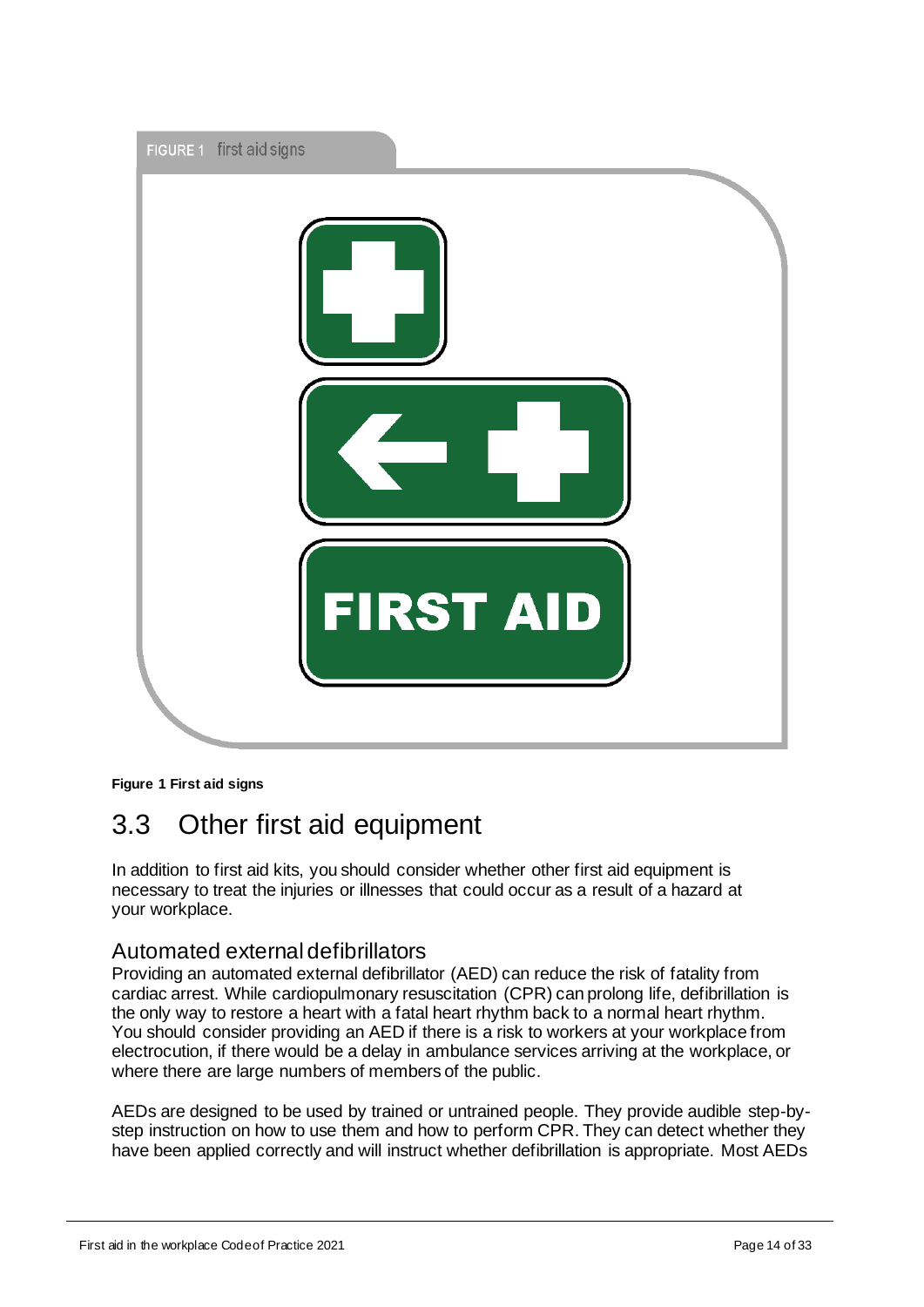

#### **Figure 1 First aid signs**

# <span id="page-13-0"></span>3.3 Other first aid equipment

In addition to first aid kits, you should consider whether other first aid equipment is necessary to treat the injuries or illnesses that could occur as a result of a hazard at your workplace.

## Automated external defibrillators

Providing an automated external defibrillator (AED) can reduce the risk of fatality from cardiac arrest. While cardiopulmonary resuscitation (CPR) can prolong life, defibrillation is the only way to restore a heart with a fatal heart rhythm back to a normal heart rhythm. You should consider providing an AED if there is a risk to workers at your workplace from electrocution, if there would be a delay in ambulance services arriving at the workplace, or where there are large numbers of members of the public.

AEDs are designed to be used by trained or untrained people. They provide audible step-bystep instruction on how to use them and how to perform CPR. They can detect whether they have been applied correctly and will instruct whether defibrillation is appropriate. Most AEDs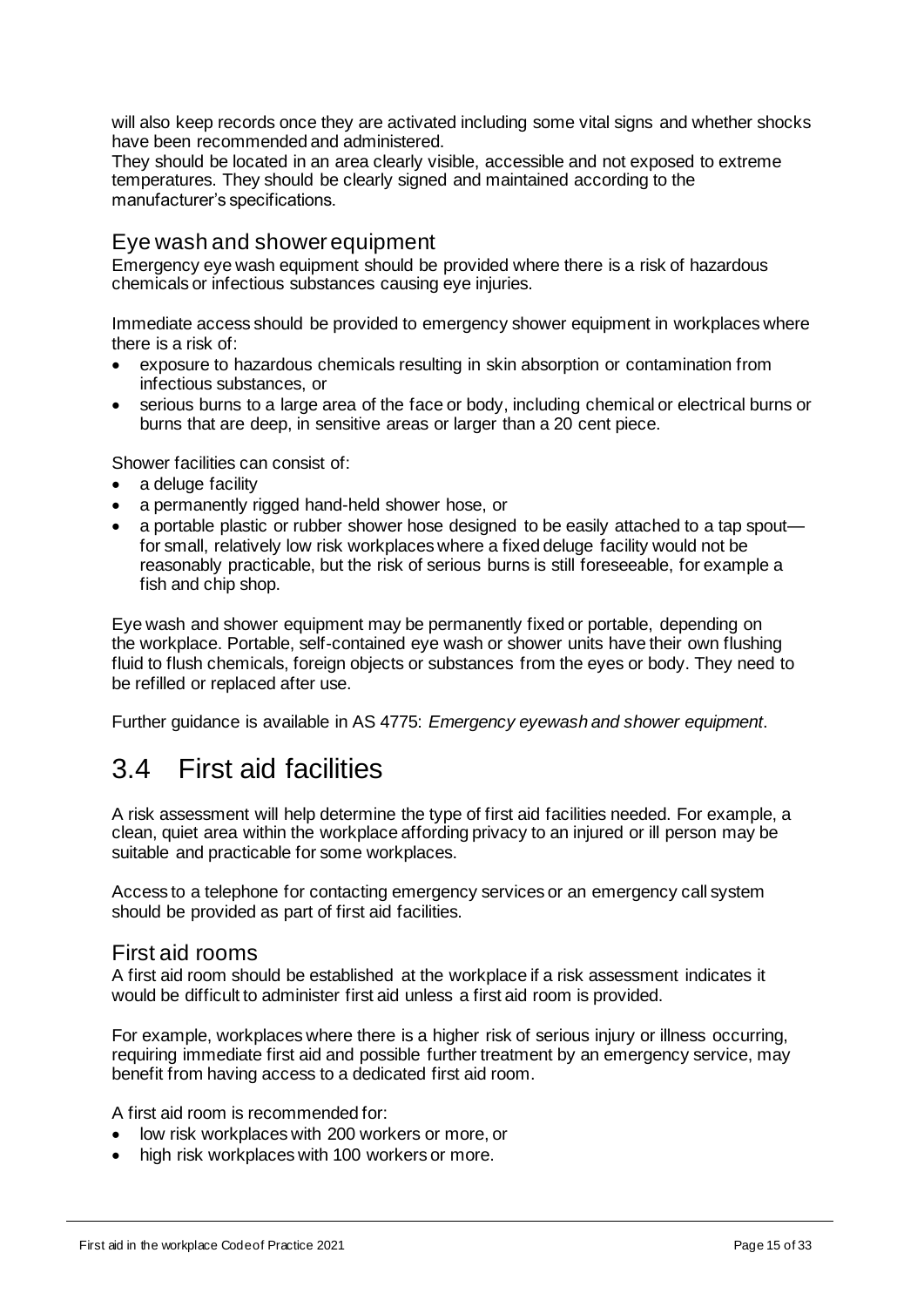will also keep records once they are activated including some vital signs and whether shocks have been recommended and administered.

They should be located in an area clearly visible, accessible and not exposed to extreme temperatures. They should be clearly signed and maintained according to the manufacturer's specifications.

## Eye wash and shower equipment

Emergency eye wash equipment should be provided where there is a risk of hazardous chemicals or infectious substances causing eye injuries.

Immediate access should be provided to emergency shower equipment in workplaces where there is a risk of:

- exposure to hazardous chemicals resulting in skin absorption or contamination from infectious substances, or
- serious burns to a large area of the face or body, including chemical or electrical burns or burns that are deep, in sensitive areas or larger than a 20 cent piece.

Shower facilities can consist of:

- a deluge facility
- a permanently rigged hand-held shower hose, or
- a portable plastic or rubber shower hose designed to be easily attached to a tap spout for small, relatively low risk workplaces where a fixed deluge facility would not be reasonably practicable, but the risk of serious burns is still foreseeable, for example a fish and chip shop.

Eye wash and shower equipment may be permanently fixed or portable, depending on the workplace. Portable, self-contained eye wash or shower units have their own flushing fluid to flush chemicals, foreign objects or substances from the eyes or body. They need to be refilled or replaced after use.

Further guidance is available in AS 4775: *Emergency eyewash and shower equipment*.

# <span id="page-14-0"></span>3.4 First aid facilities

A risk assessment will help determine the type of first aid facilities needed. For example, a clean, quiet area within the workplace affording privacy to an injured or ill person may be suitable and practicable for some workplaces.

Access to a telephone for contacting emergency services or an emergency call system should be provided as part of first aid facilities.

### First aid rooms

A first aid room should be established at the workplace if a risk assessment indicates it would be difficult to administer first aid unless a first aid room is provided.

For example, workplaces where there is a higher risk of serious injury or illness occurring, requiring immediate first aid and possible further treatment by an emergency service, may benefit from having access to a dedicated first aid room.

A first aid room is recommended for:

- low risk workplaces with 200 workers or more, or
- high risk workplaces with 100 workers or more.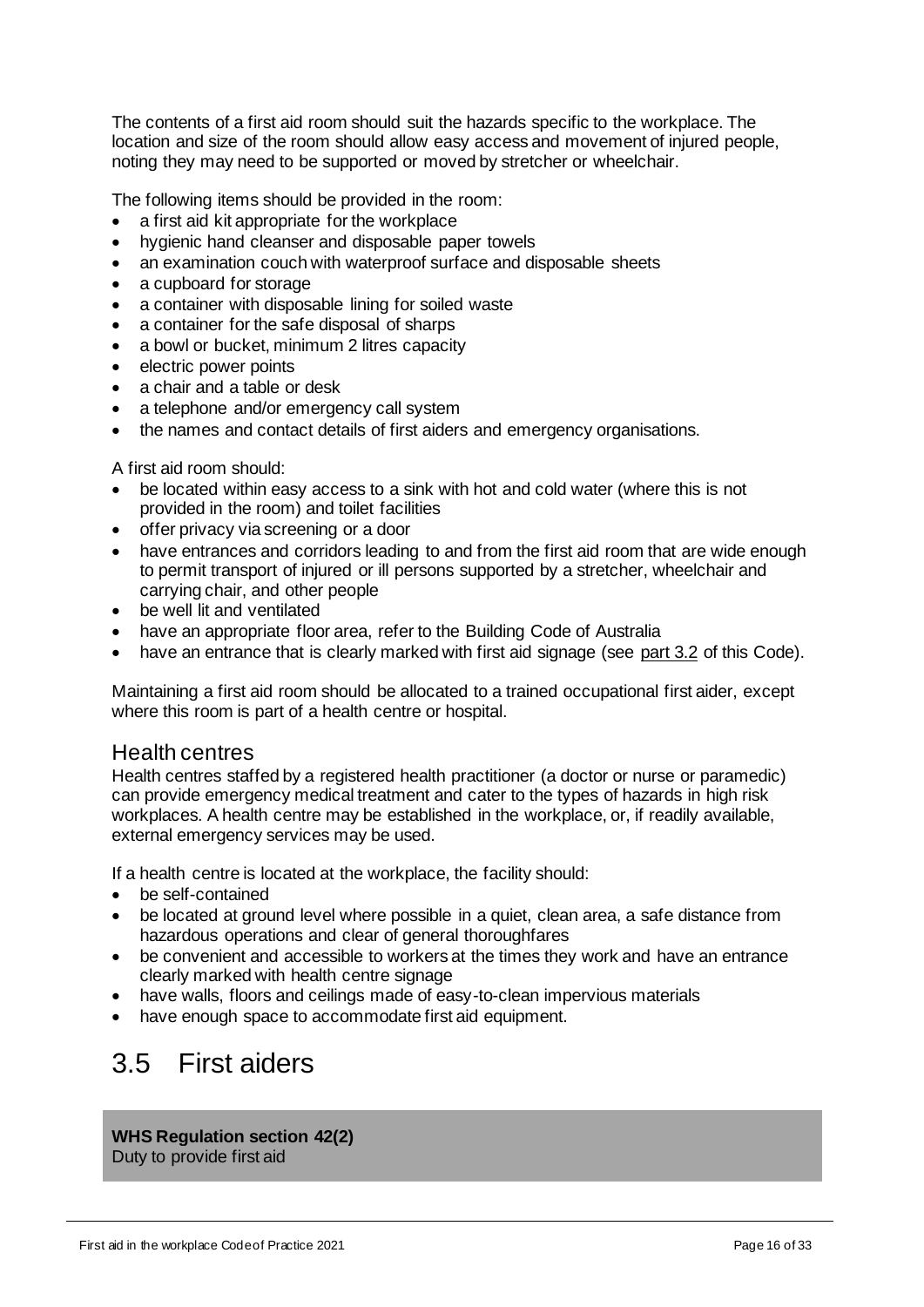The contents of a first aid room should suit the hazards specific to the workplace. The location and size of the room should allow easy access and movement of injured people, noting they may need to be supported or moved by stretcher or wheelchair.

The following items should be provided in the room:

- a first aid kit appropriate for the workplace
- hygienic hand cleanser and disposable paper towels
- an examination couch with waterproof surface and disposable sheets
- a cupboard for storage
- a container with disposable lining for soiled waste
- a container for the safe disposal of sharps
- a bowl or bucket, minimum 2 litres capacity
- electric power points
- a chair and a table or desk
- a telephone and/or emergency call system
- the names and contact details of first aiders and emergency organisations.

A first aid room should:

- be located within easy access to a sink with hot and cold water (where this is not provided in the room) and toilet facilities
- offer privacy via screening or a door
- have entrances and corridors leading to and from the first aid room that are wide enough to permit transport of injured or ill persons supported by a stretcher, wheelchair and carrying chair, and other people
- be well lit and ventilated
- have an appropriate floor area, refer to the Building Code of Australia
- have an entrance that is clearly marked with first aid signage (see [part 3.2](#page-12-0) of this Code).

Maintaining a first aid room should be allocated to a trained occupational first aider, except where this room is part of a health centre or hospital.

### Health centres

Health centres staffed by a registered health practitioner (a doctor or nurse or paramedic) can provide emergency medical treatment and cater to the types of hazards in high risk workplaces. A health centre may be established in the workplace, or, if readily available, external emergency services may be used.

If a health centre is located at the workplace, the facility should:

- be self-contained
- be located at ground level where possible in a quiet, clean area, a safe distance from hazardous operations and clear of general thoroughfares
- be convenient and accessible to workers at the times they work and have an entrance clearly marked with health centre signage
- have walls, floors and ceilings made of easy-to-clean impervious materials
- have enough space to accommodate first aid equipment.

# <span id="page-15-0"></span>3.5 First aiders

**WHS Regulation section 42(2)**

Duty to provide first aid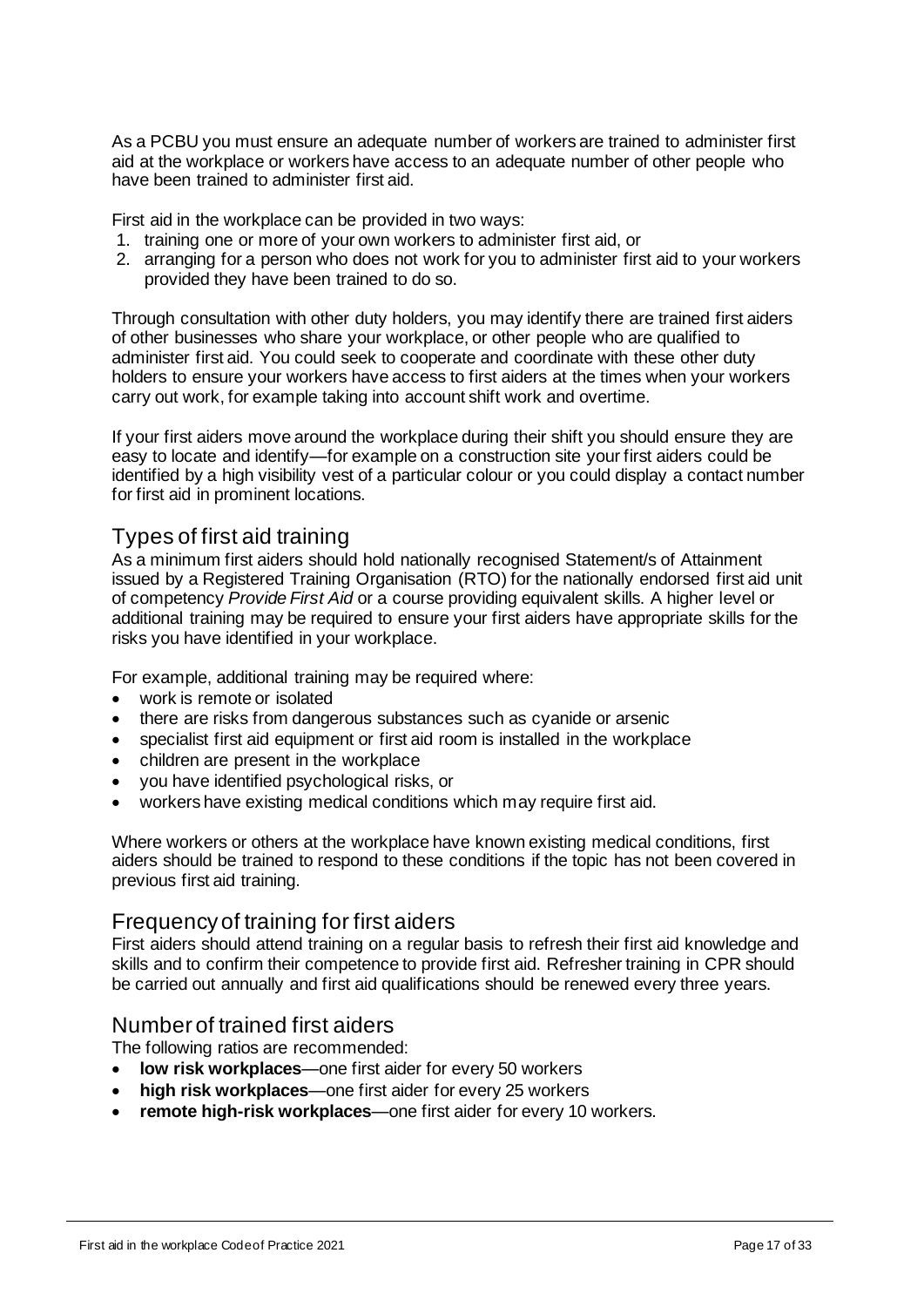As a PCBU you must ensure an adequate number of workers are trained to administer first aid at the workplace or workers have access to an adequate number of other people who have been trained to administer first aid.

First aid in the workplace can be provided in two ways:

- 1. training one or more of your own workers to administer first aid, or
- 2. arranging for a person who does not work for you to administer first aid to your workers provided they have been trained to do so.

Through consultation with other duty holders, you may identify there are trained first aiders of other businesses who share your workplace, or other people who are qualified to administer first aid. You could seek to cooperate and coordinate with these other duty holders to ensure your workers have access to first aiders at the times when your workers carry out work, for example taking into account shift work and overtime.

If your first aiders move around the workplace during their shift you should ensure they are easy to locate and identify—for example on a construction site your first aiders could be identified by a high visibility vest of a particular colour or you could display a contact number for first aid in prominent locations.

## Types of first aid training

As a minimum first aiders should hold nationally recognised Statement/s of Attainment issued by a Registered Training Organisation (RTO) for the nationally endorsed first aid unit of competency *Provide First Aid* or a course providing equivalent skills. A higher level or additional training may be required to ensure your first aiders have appropriate skills for the risks you have identified in your workplace.

For example, additional training may be required where:

- work is remote or isolated
- there are risks from dangerous substances such as cyanide or arsenic
- specialist first aid equipment or first aid room is installed in the workplace
- children are present in the workplace
- you have identified psychological risks, or
- workers have existing medical conditions which may require first aid.

Where workers or others at the workplace have known existing medical conditions, first aiders should be trained to respond to these conditions if the topic has not been covered in previous first aid training.

### Frequency of training for first aiders

First aiders should attend training on a regular basis to refresh their first aid knowledge and skills and to confirm their competence to provide first aid. Refresher training in CPR should be carried out annually and first aid qualifications should be renewed every three years.

### Number of trained first aiders

The following ratios are recommended:

- **low risk workplaces**—one first aider for every 50 workers
- **high risk workplaces**—one first aider for every 25 workers
- **remote high-risk workplaces**—one first aider for every 10 workers.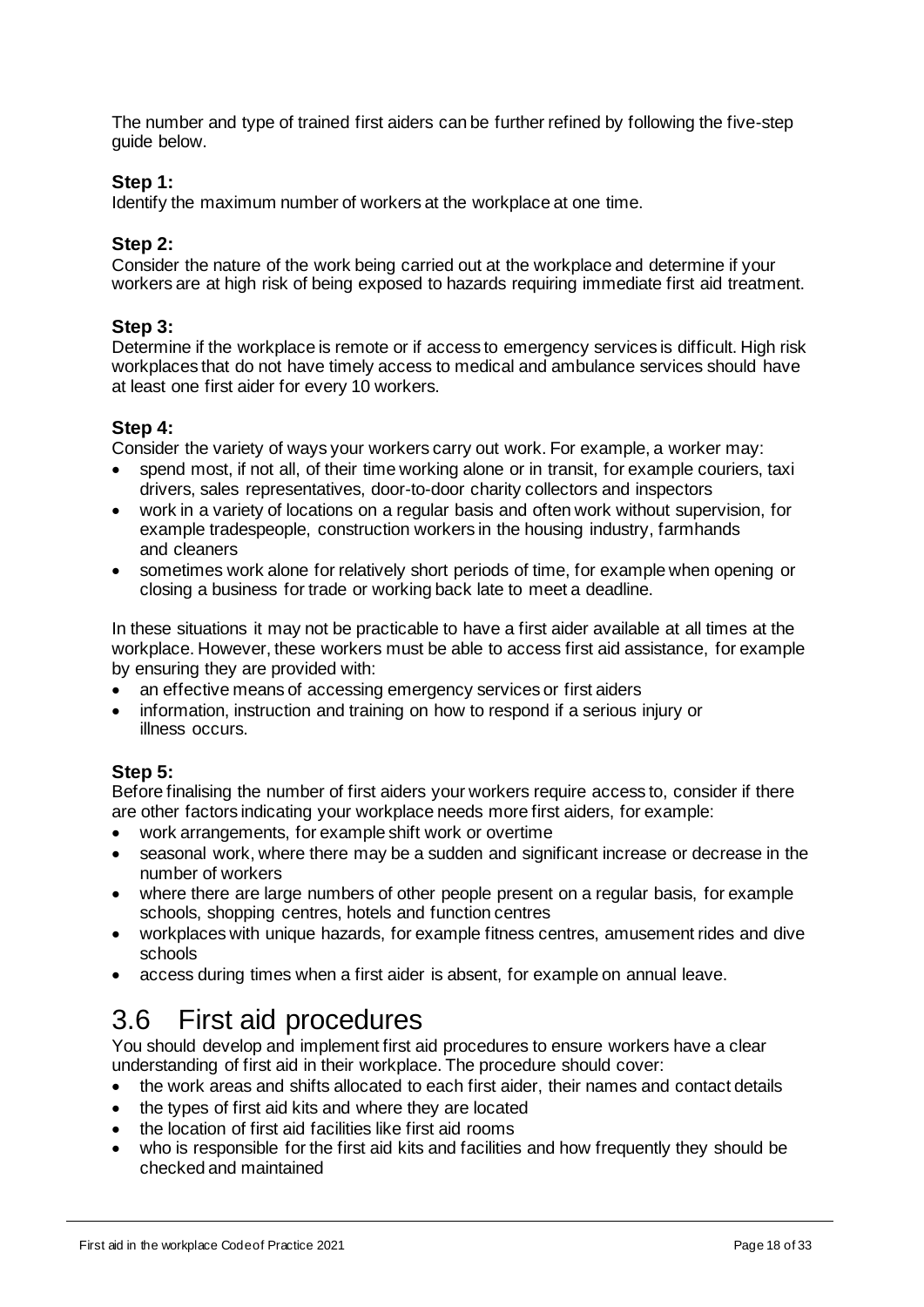The number and type of trained first aiders can be further refined by following the five-step guide below.

#### **Step 1:**

Identify the maximum number of workers at the workplace at one time.

#### **Step 2:**

Consider the nature of the work being carried out at the workplace and determine if your workers are at high risk of being exposed to hazards requiring immediate first aid treatment.

#### **Step 3:**

Determine if the workplace is remote or if access to emergency services is difficult. High risk workplaces that do not have timely access to medical and ambulance services should have at least one first aider for every 10 workers.

#### **Step 4:**

Consider the variety of ways your workers carry out work. For example, a worker may:

- spend most, if not all, of their time working alone or in transit, for example couriers, taxi drivers, sales representatives, door-to-door charity collectors and inspectors
- work in a variety of locations on a regular basis and often work without supervision, for example tradespeople, construction workers in the housing industry, farmhands and cleaners
- sometimes work alone for relatively short periods of time, for example when opening or closing a business for trade or working back late to meet a deadline.

In these situations it may not be practicable to have a first aider available at all times at the workplace. However, these workers must be able to access first aid assistance, for example by ensuring they are provided with:

- an effective means of accessing emergency services or first aiders
- information, instruction and training on how to respond if a serious injury or illness occurs.

### **Step 5:**

Before finalising the number of first aiders your workers require access to, consider if there are other factors indicating your workplace needs more first aiders, for example:

- work arrangements, for example shift work or overtime
- seasonal work, where there may be a sudden and significant increase or decrease in the number of workers
- where there are large numbers of other people present on a regular basis, for example schools, shopping centres, hotels and function centres
- workplaces with unique hazards, for example fitness centres, amusement rides and dive schools
- access during times when a first aider is absent, for example on annual leave.

# <span id="page-17-0"></span>3.6 First aid procedures

You should develop and implement first aid procedures to ensure workers have a clear understanding of first aid in their workplace. The procedure should cover:

- the work areas and shifts allocated to each first aider, their names and contact details
- the types of first aid kits and where they are located
- the location of first aid facilities like first aid rooms
- who is responsible for the first aid kits and facilities and how frequently they should be checked and maintained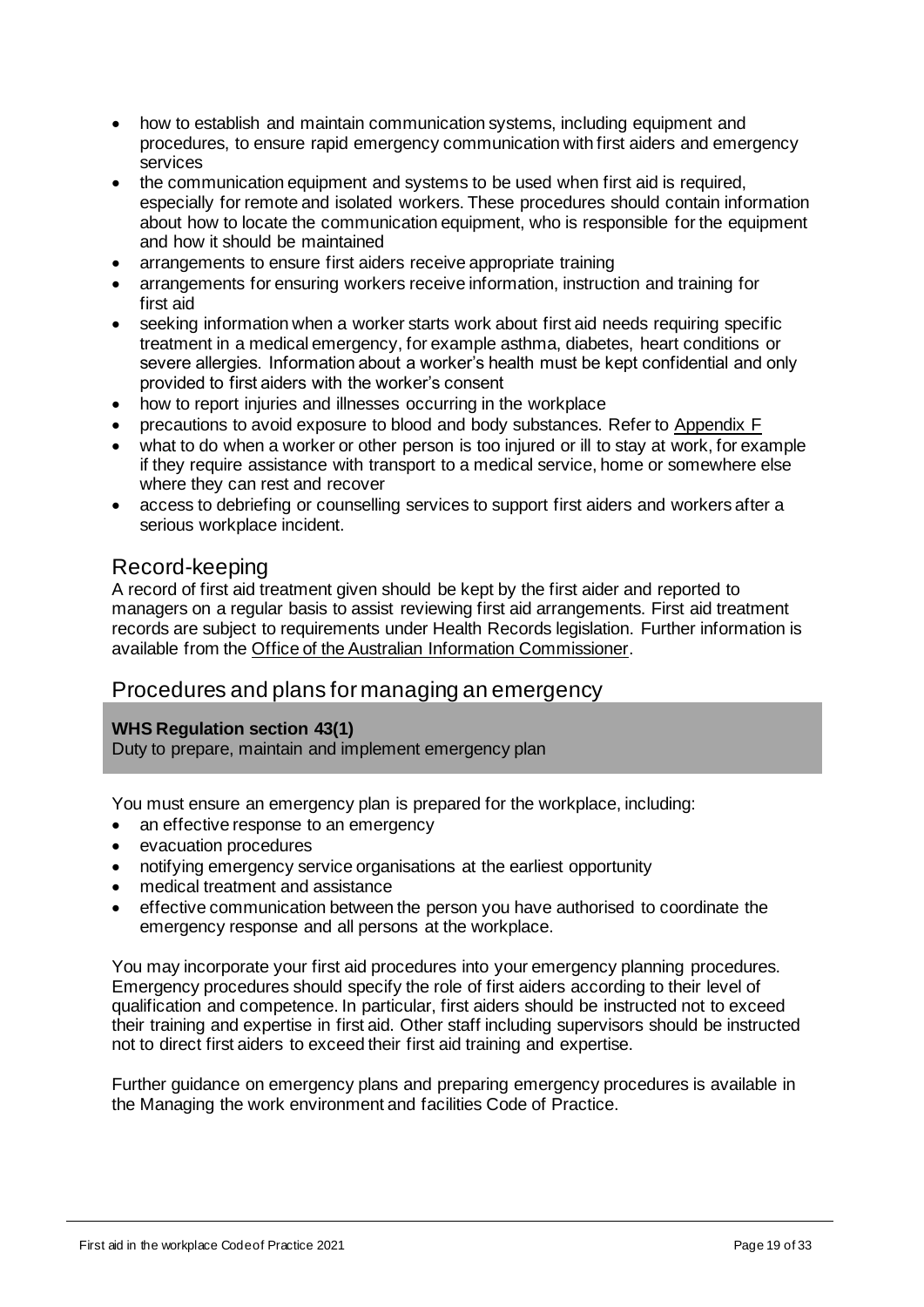- how to establish and maintain communication systems, including equipment and procedures, to ensure rapid emergency communication with first aiders and emergency services
- the communication equipment and systems to be used when first aid is required, especially for remote and isolated workers. These procedures should contain information about how to locate the communication equipment, who is responsible for the equipment and how it should be maintained
- arrangements to ensure first aiders receive appropriate training
- arrangements for ensuring workers receive information, instruction and training for first aid
- seeking information when a worker starts work about first aid needs requiring specific treatment in a medical emergency, for example asthma, diabetes, heart conditions or severe allergies. Information about a worker's health must be kept confidential and only provided to first aiders with the worker's consent
- how to report injuries and illnesses occurring in the workplace
- precautions to avoid exposure to blood and body substances. Refer to [Appendix F](#page-31-0)
- what to do when a worker or other person is too injured or ill to stay at work, for example if they require assistance with transport to a medical service, home or somewhere else where they can rest and recover
- access to debriefing or counselling services to support first aiders and workers after a serious workplace incident.

## Record-keeping

A record of first aid treatment given should be kept by the first aider and reported to managers on a regular basis to assist reviewing first aid arrangements. First aid treatment records are subject to requirements under Health Records legislation. Further information is available from the [Office of the Australian Information Commissioner.](https://www.oaic.gov.au/)

## Procedures and plans for managing an emergency

#### **WHS Regulation section 43(1)**

Duty to prepare, maintain and implement emergency plan

You must ensure an emergency plan is prepared for the workplace, including:

- an effective response to an emergency
- evacuation procedures
- notifying emergency service organisations at the earliest opportunity
- medical treatment and assistance
- effective communication between the person you have authorised to coordinate the emergency response and all persons at the workplace.

You may incorporate your first aid procedures into your emergency planning procedures. Emergency procedures should specify the role of first aiders according to their level of qualification and competence. In particular, first aiders should be instructed not to exceed their training and expertise in first aid. Other staff including supervisors should be instructed not to direct first aiders to exceed their first aid training and expertise.

Further guidance on emergency plans and preparing emergency procedures is available in the Managing the work environment and facilities Code of Practice.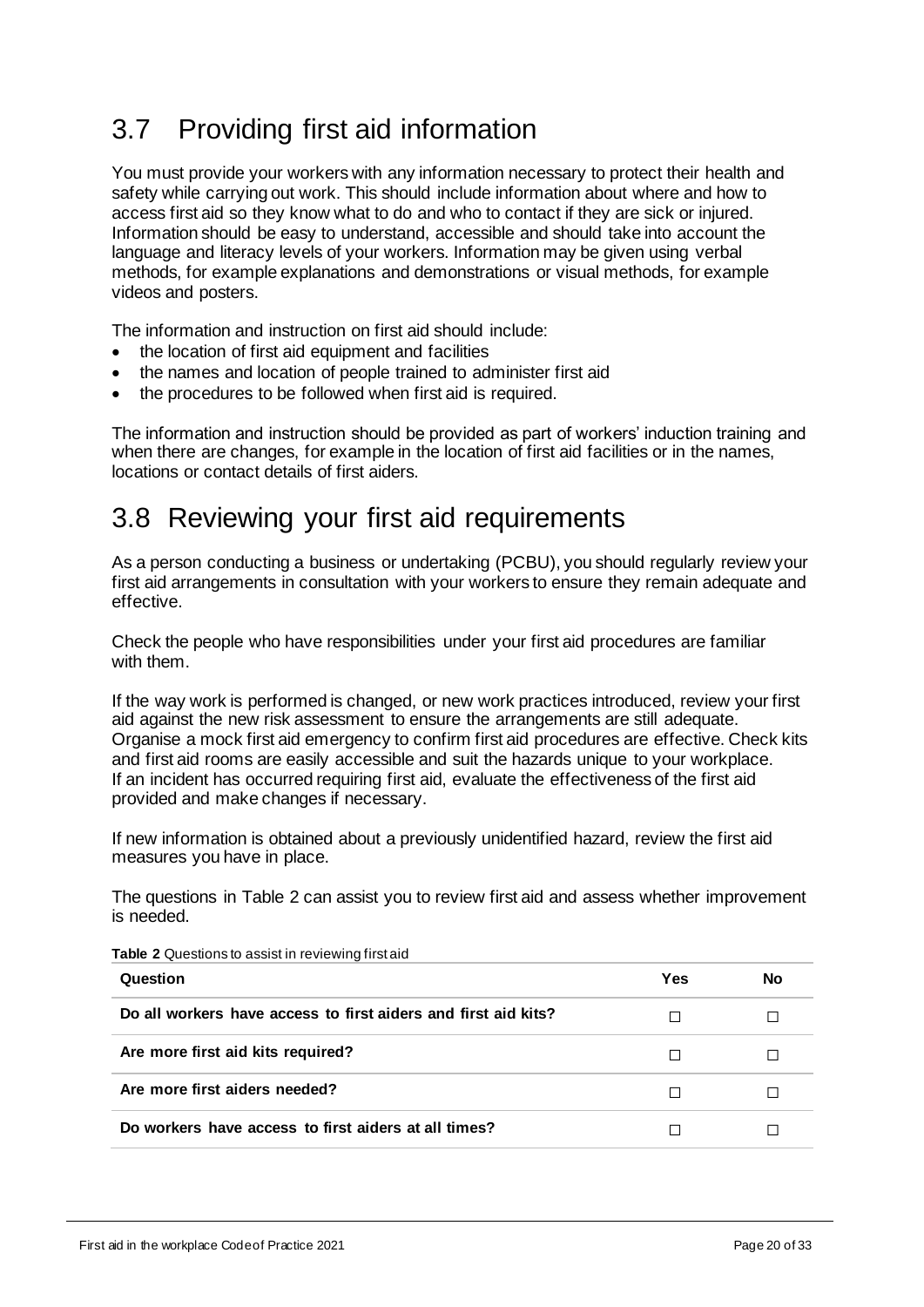# <span id="page-19-0"></span>3.7 Providing first aid information

You must provide your workers with any information necessary to protect their health and safety while carrying out work. This should include information about where and how to access first aid so they know what to do and who to contact if they are sick or injured. Information should be easy to understand, accessible and should take into account the language and literacy levels of your workers. Information may be given using verbal methods, for example explanations and demonstrations or visual methods, for example videos and posters.

The information and instruction on first aid should include:

- the location of first aid equipment and facilities
- the names and location of people trained to administer first aid
- the procedures to be followed when first aid is required.

The information and instruction should be provided as part of workers' induction training and when there are changes, for example in the location of first aid facilities or in the names, locations or contact details of first aiders.

# <span id="page-19-1"></span>3.8 Reviewing your first aid requirements

As a person conducting a business or undertaking (PCBU), you should regularly review your first aid arrangements in consultation with your workers to ensure they remain adequate and effective.

Check the people who have responsibilities under your first aid procedures are familiar with them.

If the way work is performed is changed, or new work practices introduced, review your first aid against the new risk assessment to ensure the arrangements are still adequate. Organise a mock first aid emergency to confirm first aid procedures are effective. Check kits and first aid rooms are easily accessible and suit the hazards unique to your workplace. If an incident has occurred requiring first aid, evaluate the effectiveness of the first aid provided and make changes if necessary.

If new information is obtained about a previously unidentified hazard, review the first aid measures you have in place.

The questions in Table 2 can assist you to review first aid and assess whether improvement is needed.

| Question                                                       | Yes | No |
|----------------------------------------------------------------|-----|----|
| Do all workers have access to first aiders and first aid kits? |     |    |
| Are more first aid kits required?                              |     |    |
| Are more first aiders needed?                                  |     |    |
| Do workers have access to first aiders at all times?           |     |    |

**Table 2** Questions to assist in reviewing first aid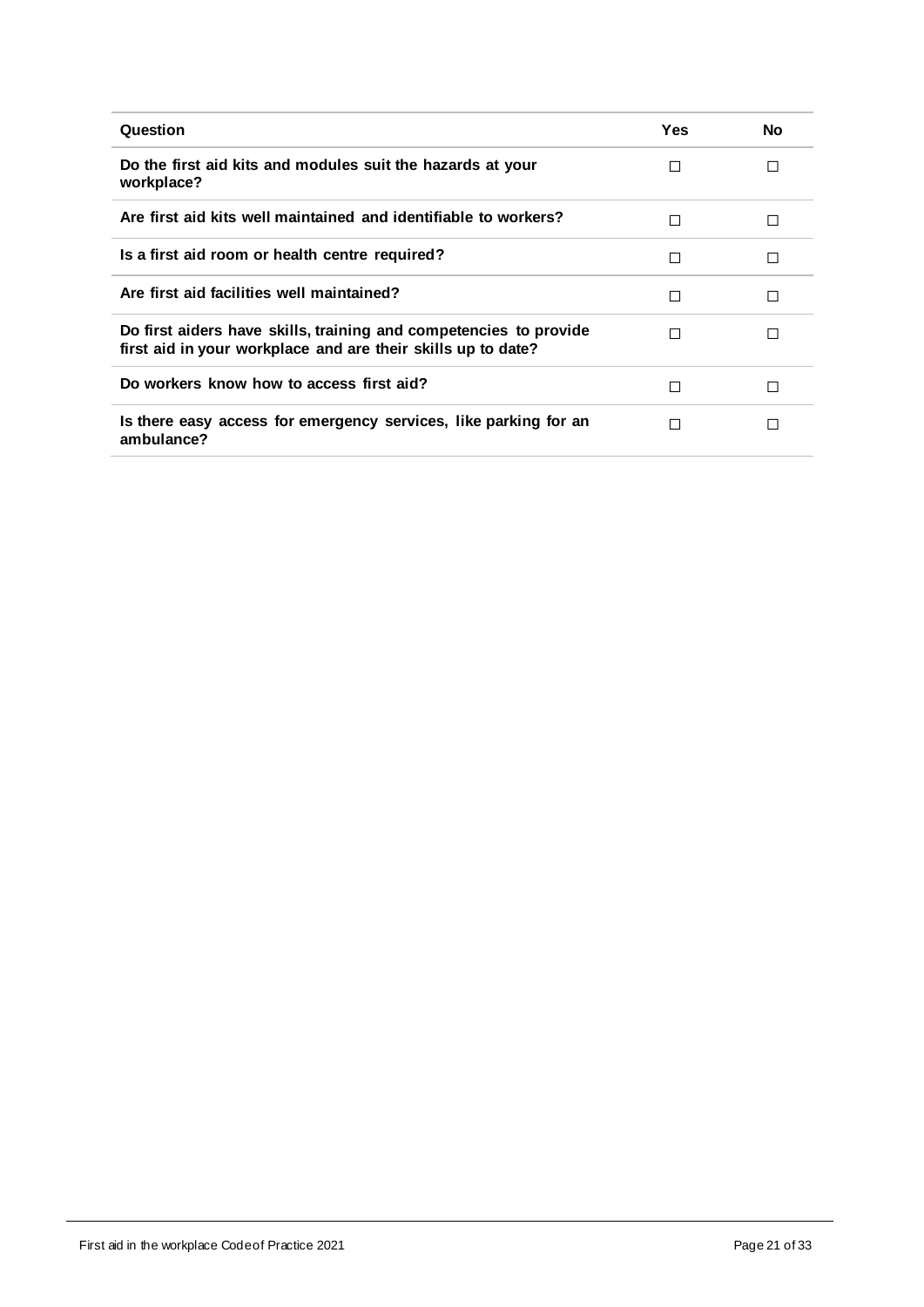| Question                                                                                                                          | Yes | No |
|-----------------------------------------------------------------------------------------------------------------------------------|-----|----|
| Do the first aid kits and modules suit the hazards at your<br>workplace?                                                          | П   | П  |
| Are first aid kits well maintained and identifiable to workers?                                                                   | П   | П  |
| Is a first aid room or health centre required?                                                                                    | П   | П  |
| Are first aid facilities well maintained?                                                                                         | П   | П  |
| Do first aiders have skills, training and competencies to provide<br>first aid in your workplace and are their skills up to date? | П   | П  |
| Do workers know how to access first aid?                                                                                          | П   | П  |
| Is there easy access for emergency services, like parking for an<br>ambulance?                                                    | П   | П  |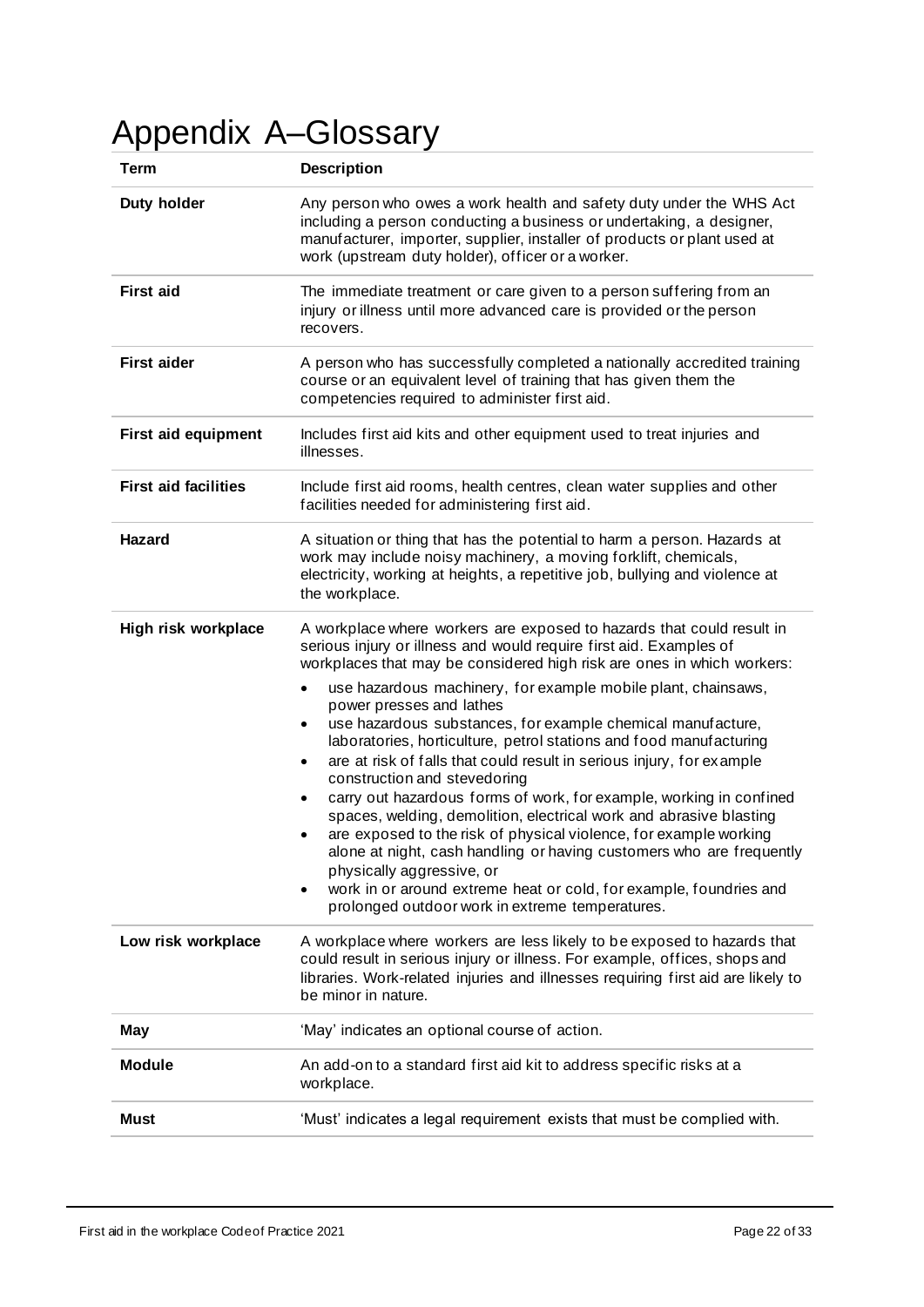# <span id="page-21-0"></span>Appendix A–Glossary

| Term                        | <b>Description</b>                                                                                                                                                                                                                                                                                                                                                                                                                                                                                                                                                                                                                                                                                                                                                                                                |  |  |
|-----------------------------|-------------------------------------------------------------------------------------------------------------------------------------------------------------------------------------------------------------------------------------------------------------------------------------------------------------------------------------------------------------------------------------------------------------------------------------------------------------------------------------------------------------------------------------------------------------------------------------------------------------------------------------------------------------------------------------------------------------------------------------------------------------------------------------------------------------------|--|--|
| Duty holder                 | Any person who owes a work health and safety duty under the WHS Act<br>including a person conducting a business or undertaking, a designer,<br>manufacturer, importer, supplier, installer of products or plant used at<br>work (upstream duty holder), officer or a worker.                                                                                                                                                                                                                                                                                                                                                                                                                                                                                                                                      |  |  |
| <b>First aid</b>            | The immediate treatment or care given to a person suffering from an<br>injury or illness until more advanced care is provided or the person<br>recovers.                                                                                                                                                                                                                                                                                                                                                                                                                                                                                                                                                                                                                                                          |  |  |
| <b>First aider</b>          | A person who has successfully completed a nationally accredited training<br>course or an equivalent level of training that has given them the<br>competencies required to administer first aid.                                                                                                                                                                                                                                                                                                                                                                                                                                                                                                                                                                                                                   |  |  |
| <b>First aid equipment</b>  | Includes first aid kits and other equipment used to treat injuries and<br>illnesses.                                                                                                                                                                                                                                                                                                                                                                                                                                                                                                                                                                                                                                                                                                                              |  |  |
| <b>First aid facilities</b> | Include first aid rooms, health centres, clean water supplies and other<br>facilities needed for administering first aid.                                                                                                                                                                                                                                                                                                                                                                                                                                                                                                                                                                                                                                                                                         |  |  |
| Hazard                      | A situation or thing that has the potential to harm a person. Hazards at<br>work may include noisy machinery, a moving forklift, chemicals,<br>electricity, working at heights, a repetitive job, bullying and violence at<br>the workplace.                                                                                                                                                                                                                                                                                                                                                                                                                                                                                                                                                                      |  |  |
| High risk workplace         | A workplace where workers are exposed to hazards that could result in<br>serious injury or illness and would require first aid. Examples of<br>workplaces that may be considered high risk are ones in which workers:                                                                                                                                                                                                                                                                                                                                                                                                                                                                                                                                                                                             |  |  |
|                             | use hazardous machinery, for example mobile plant, chainsaws,<br>power presses and lathes<br>use hazardous substances, for example chemical manufacture,<br>laboratories, horticulture, petrol stations and food manufacturing<br>are at risk of falls that could result in serious injury, for example<br>construction and stevedoring<br>carry out hazardous forms of work, for example, working in confined<br>$\bullet$<br>spaces, welding, demolition, electrical work and abrasive blasting<br>are exposed to the risk of physical violence, for example working<br>alone at night, cash handling or having customers who are frequently<br>physically aggressive, or<br>work in or around extreme heat or cold, for example, foundries and<br>$\bullet$<br>prolonged outdoor work in extreme temperatures. |  |  |
| Low risk workplace          | A workplace where workers are less likely to be exposed to hazards that<br>could result in serious injury or illness. For example, offices, shops and<br>libraries. Work-related injuries and illnesses requiring first aid are likely to<br>be minor in nature.                                                                                                                                                                                                                                                                                                                                                                                                                                                                                                                                                  |  |  |
| May                         | 'May' indicates an optional course of action.                                                                                                                                                                                                                                                                                                                                                                                                                                                                                                                                                                                                                                                                                                                                                                     |  |  |
| <b>Module</b>               | An add-on to a standard first aid kit to address specific risks at a<br>workplace.                                                                                                                                                                                                                                                                                                                                                                                                                                                                                                                                                                                                                                                                                                                                |  |  |
| <b>Must</b>                 | 'Must' indicates a legal requirement exists that must be complied with.                                                                                                                                                                                                                                                                                                                                                                                                                                                                                                                                                                                                                                                                                                                                           |  |  |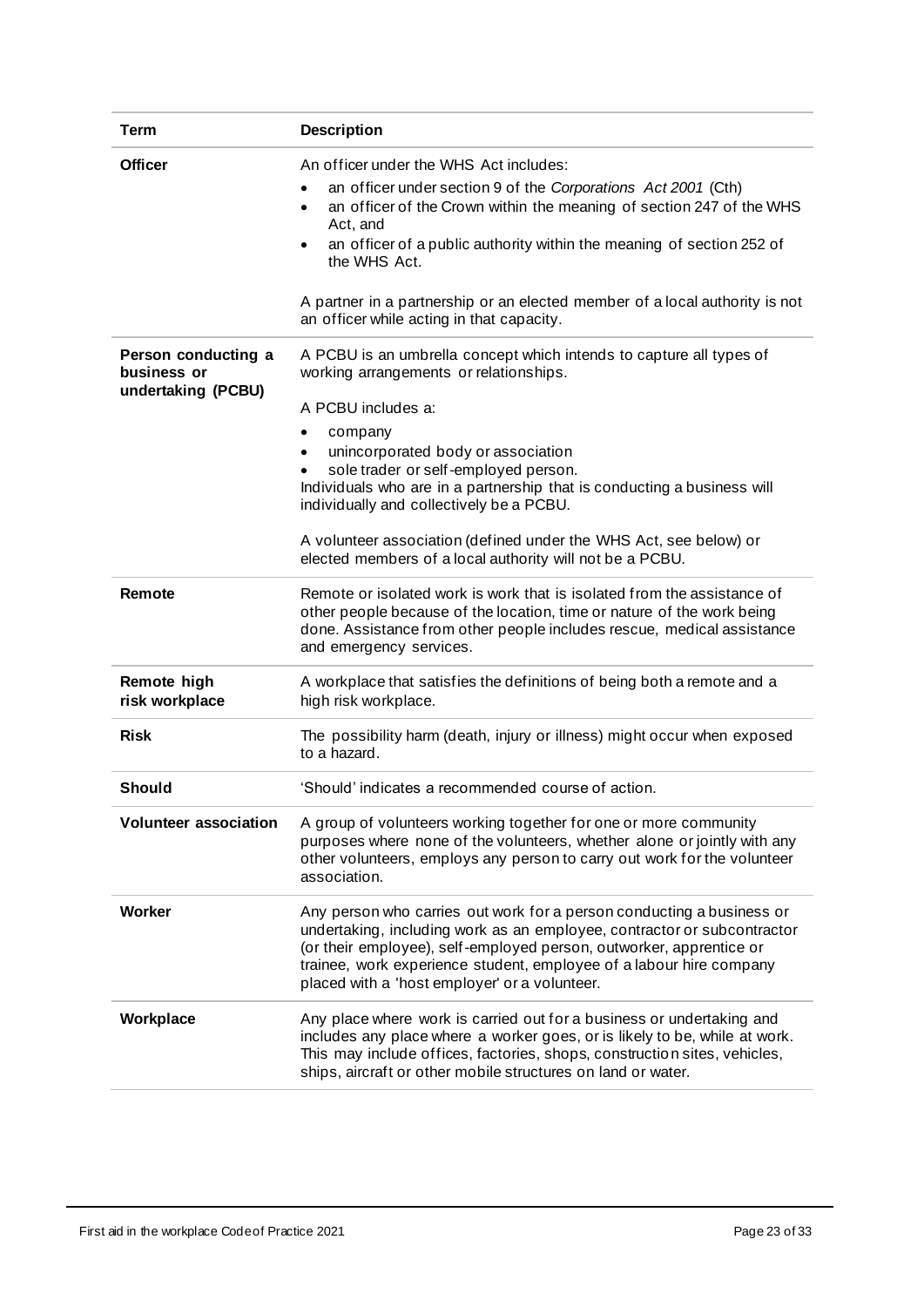| <b>Term</b>                                              | <b>Description</b>                                                                                                                                                                                                                                                                                                                                                                                                                                                                        |
|----------------------------------------------------------|-------------------------------------------------------------------------------------------------------------------------------------------------------------------------------------------------------------------------------------------------------------------------------------------------------------------------------------------------------------------------------------------------------------------------------------------------------------------------------------------|
| <b>Officer</b>                                           | An officer under the WHS Act includes:<br>an officer under section 9 of the Corporations Act 2001 (Cth)<br>an officer of the Crown within the meaning of section 247 of the WHS<br>$\bullet$<br>Act, and<br>an officer of a public authority within the meaning of section 252 of<br>$\bullet$<br>the WHS Act.<br>A partner in a partnership or an elected member of a local authority is not<br>an officer while acting in that capacity.                                                |
| Person conducting a<br>business or<br>undertaking (PCBU) | A PCBU is an umbrella concept which intends to capture all types of<br>working arrangements or relationships.<br>A PCBU includes a:<br>company<br>٠<br>unincorporated body or association<br>sole trader or self-employed person.<br>Individuals who are in a partnership that is conducting a business will<br>individually and collectively be a PCBU.<br>A volunteer association (defined under the WHS Act, see below) or<br>elected members of a local authority will not be a PCBU. |
| Remote                                                   | Remote or isolated work is work that is isolated from the assistance of<br>other people because of the location, time or nature of the work being<br>done. Assistance from other people includes rescue, medical assistance<br>and emergency services.                                                                                                                                                                                                                                    |
| Remote high<br>risk workplace                            | A workplace that satisfies the definitions of being both a remote and a<br>high risk workplace.                                                                                                                                                                                                                                                                                                                                                                                           |
| <b>Risk</b>                                              | The possibility harm (death, injury or illness) might occur when exposed<br>to a hazard.                                                                                                                                                                                                                                                                                                                                                                                                  |
| <b>Should</b>                                            | 'Should' indicates a recommended course of action.                                                                                                                                                                                                                                                                                                                                                                                                                                        |
| <b>Volunteer association</b>                             | A group of volunteers working together for one or more community<br>purposes where none of the volunteers, whether alone or jointly with any<br>other volunteers, employs any person to carry out work for the volunteer<br>association.                                                                                                                                                                                                                                                  |
| <b>Worker</b>                                            | Any person who carries out work for a person conducting a business or<br>undertaking, including work as an employee, contractor or subcontractor<br>(or their employee), self-employed person, outworker, apprentice or<br>trainee, work experience student, employee of a labour hire company<br>placed with a 'host employer' or a volunteer.                                                                                                                                           |
| Workplace                                                | Any place where work is carried out for a business or undertaking and<br>includes any place where a worker goes, or is likely to be, while at work.<br>This may include offices, factories, shops, construction sites, vehicles,<br>ships, aircraft or other mobile structures on land or water.                                                                                                                                                                                          |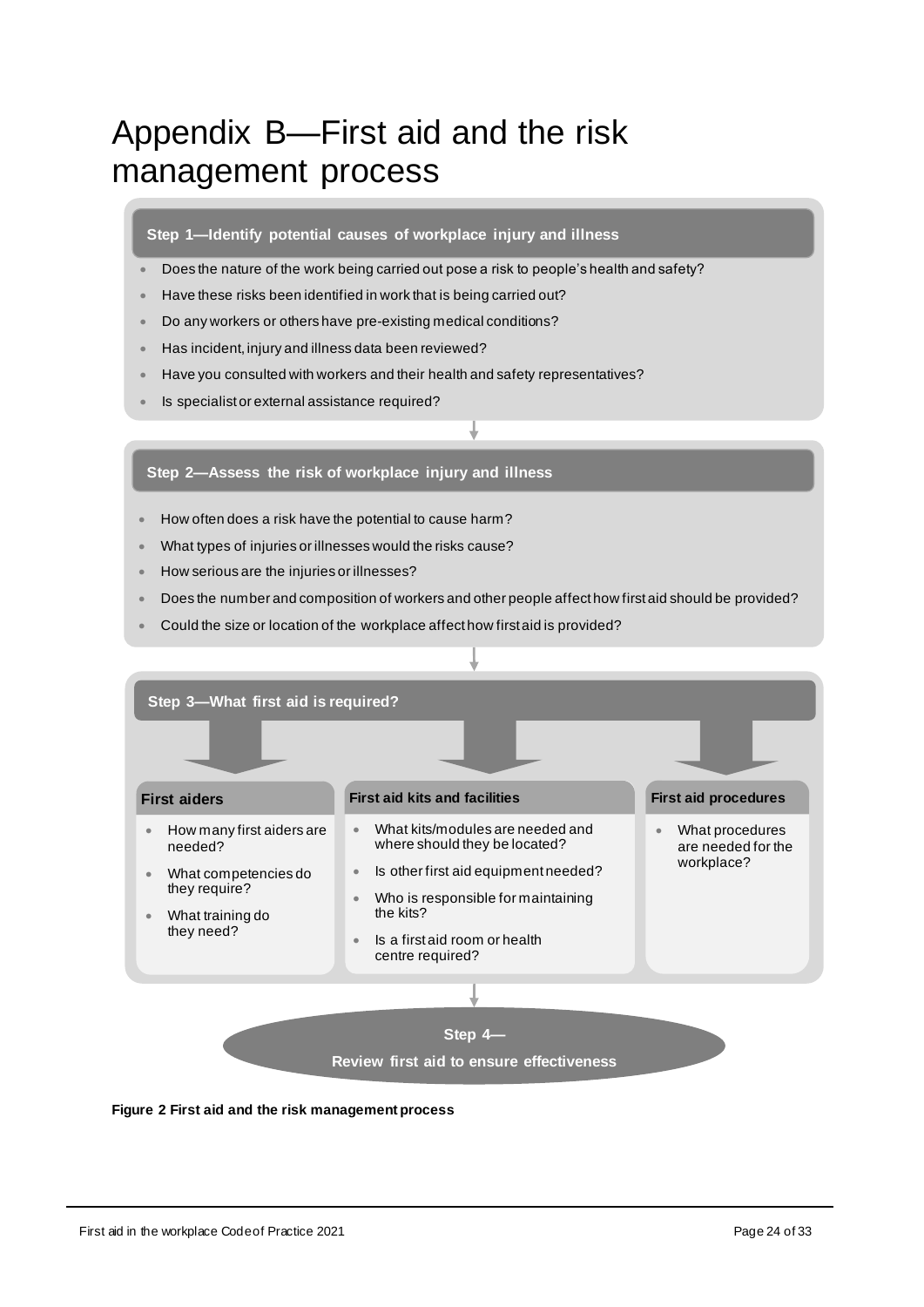# <span id="page-23-0"></span>Appendix B—First aid and the risk management process

#### **Step 1—Identify potential causes of workplace injury and illness**

- Does the nature of the work being carried out pose a risk to people's health and safety?
- Have these risks been identified in work that is being carried out?
- Do any workers or others have pre-existing medical conditions?
- Has incident, injury and illness data been reviewed?
- Have you consulted with workers and their health and safety representatives?
- Is specialist or external assistance required?

#### **Step 2—Assess the risk of workplace injury and illness**

- How often does a risk have the potential to cause harm?
- What types of injuries or illnesses would the risks cause?
- How serious are the injuries or illnesses?
- Does the number and composition of workers and other people affect how first aid should be provided?
- Could the size or location of the workplace affect how first aid is provided?



#### **Figure 2 First aid and the risk management process**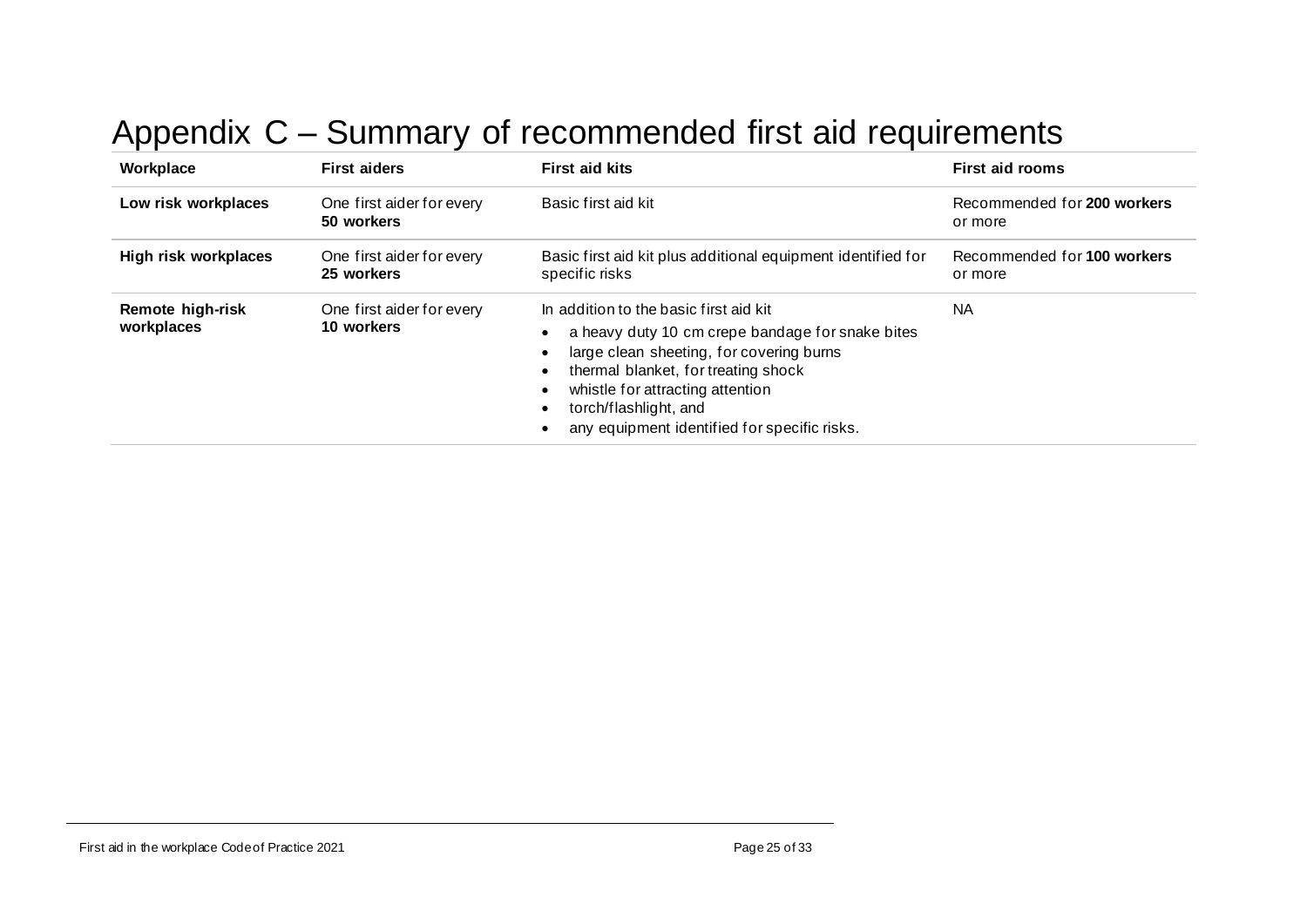# Appendix C – Summary of recommended first aid requirements

<span id="page-24-0"></span>

| Workplace                      | <b>First aiders</b>                     | <b>First aid kits</b>                                                                                                                                                                                                                                                                      | <b>First aid rooms</b>                 |
|--------------------------------|-----------------------------------------|--------------------------------------------------------------------------------------------------------------------------------------------------------------------------------------------------------------------------------------------------------------------------------------------|----------------------------------------|
| Low risk workplaces            | One first aider for every<br>50 workers | Basic first aid kit                                                                                                                                                                                                                                                                        | Recommended for 200 workers<br>or more |
| High risk workplaces           | One first aider for every<br>25 workers | Basic first aid kit plus additional equipment identified for<br>specific risks                                                                                                                                                                                                             | Recommended for 100 workers<br>or more |
| Remote high-risk<br>workplaces | One first aider for every<br>10 workers | In addition to the basic first aid kit<br>a heavy duty 10 cm crepe bandage for snake bites<br>large clean sheeting, for covering burns<br>thermal blanket, for treating shock<br>whistle for attracting attention<br>torch/flashlight, and<br>any equipment identified for specific risks. | <b>NA</b>                              |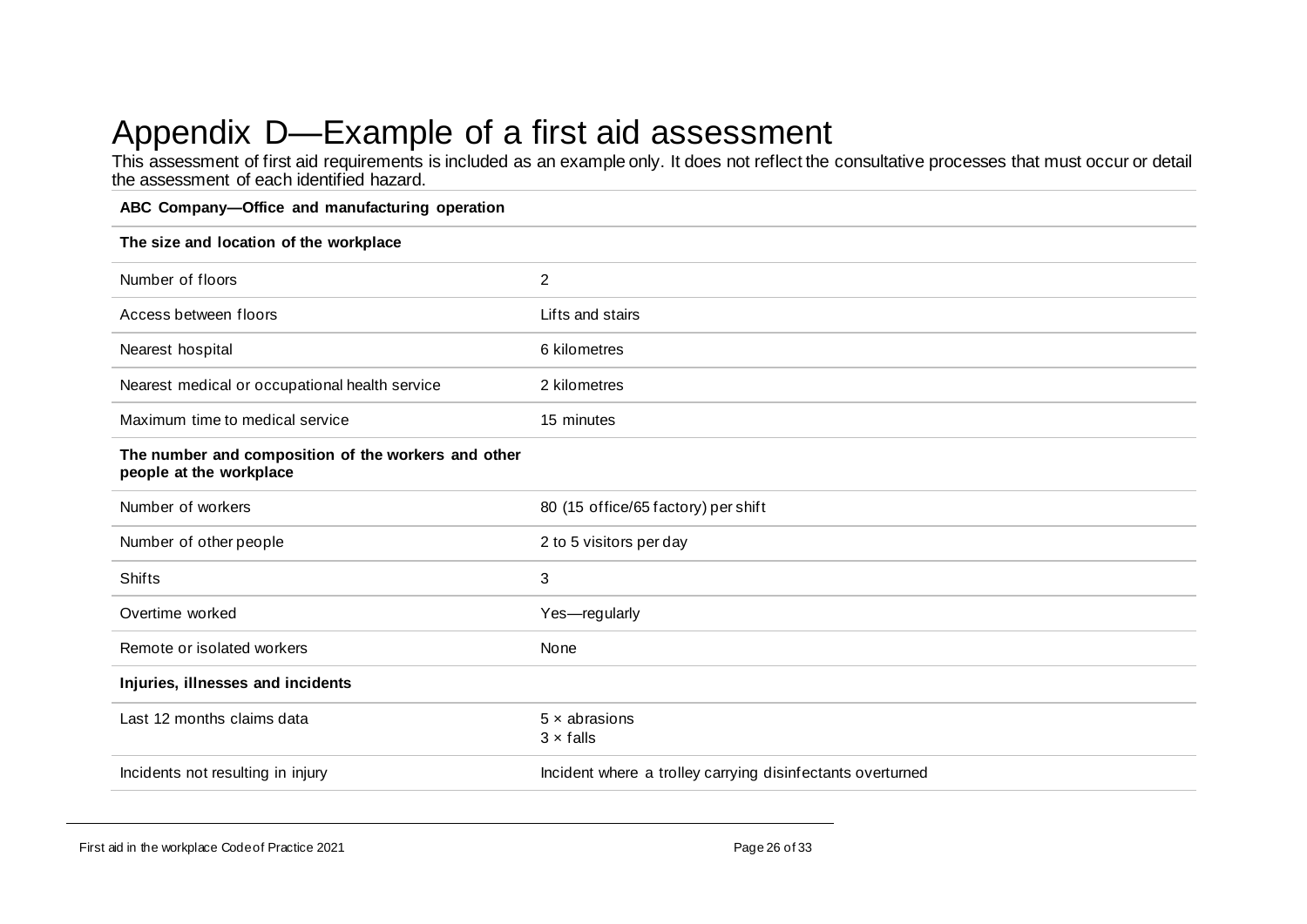# Appendix D—Example of a first aid assessment

This assessment of first aid requirements is included as an example only. It does not reflect the consultative processes that must occur or detail the assessment of each identified hazard.

#### **ABC Company—Office and manufacturing operation**

<span id="page-25-0"></span>

| The size and location of the workplace                                         |                                                            |  |  |
|--------------------------------------------------------------------------------|------------------------------------------------------------|--|--|
| Number of floors                                                               | $\overline{2}$                                             |  |  |
| Access between floors                                                          | Lifts and stairs                                           |  |  |
| Nearest hospital                                                               | 6 kilometres                                               |  |  |
| Nearest medical or occupational health service                                 | 2 kilometres                                               |  |  |
| Maximum time to medical service                                                | 15 minutes                                                 |  |  |
| The number and composition of the workers and other<br>people at the workplace |                                                            |  |  |
| Number of workers                                                              | 80 (15 office/65 factory) per shift                        |  |  |
| Number of other people                                                         | 2 to 5 visitors per day                                    |  |  |
| <b>Shifts</b>                                                                  | 3                                                          |  |  |
| Overtime worked                                                                | Yes-regularly                                              |  |  |
| Remote or isolated workers                                                     | None                                                       |  |  |
| Injuries, illnesses and incidents                                              |                                                            |  |  |
| Last 12 months claims data                                                     | $5 \times$ abrasions<br>$3 \times$ falls                   |  |  |
| Incidents not resulting in injury                                              | Incident where a trolley carrying disinfectants overturned |  |  |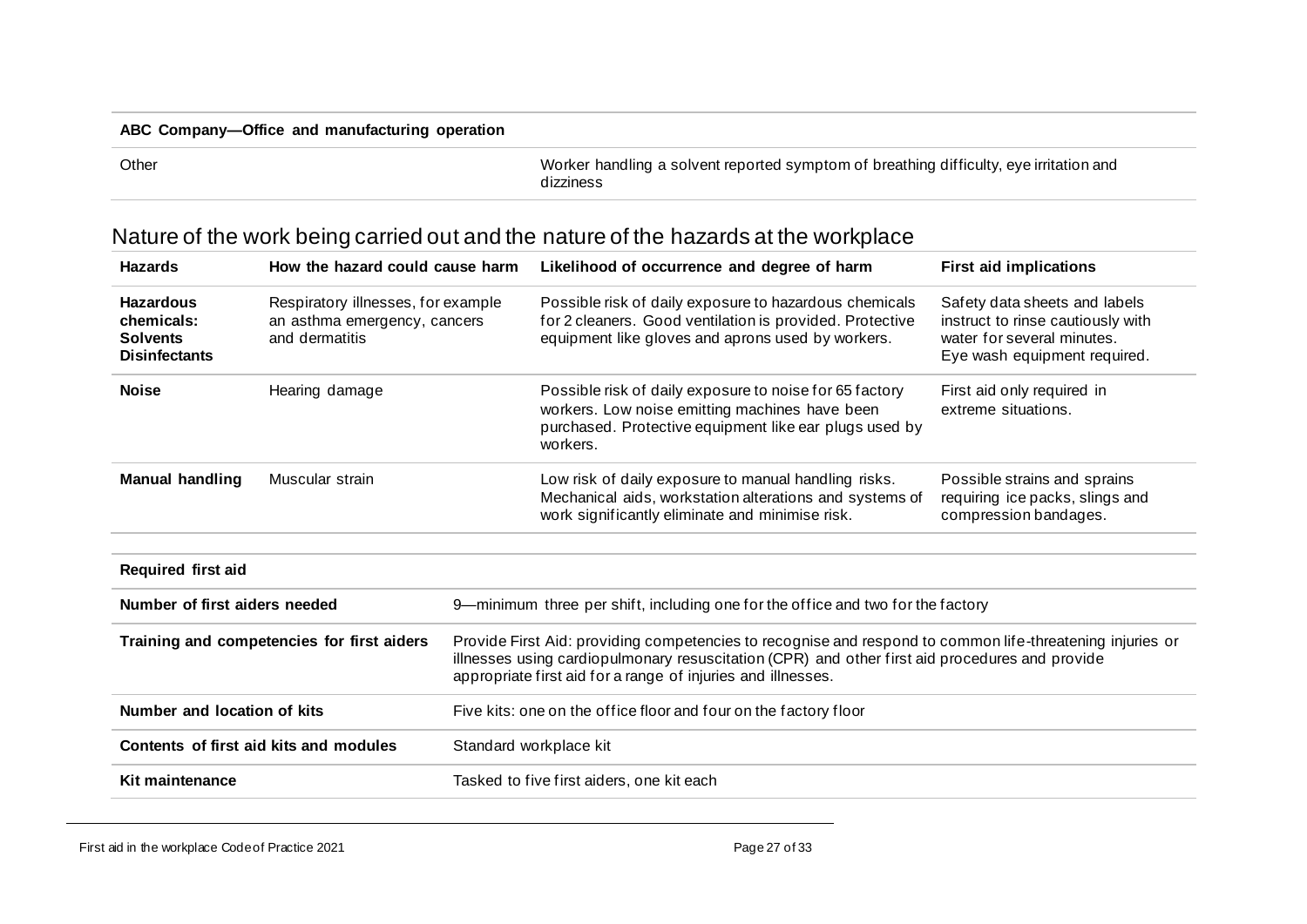#### **ABC Company—Office and manufacturing operation**

Other Worker handling a solvent reported symptom of breathing difficulty, eye irritation and dizziness

<span id="page-26-0"></span>

| <b>Hazards</b>                                                                                                                                                    | How the hazard could cause harm        |                                                                                                                                                                                                                                                                             | Likelihood of occurrence and degree of harm                                                                                                                                     | <b>First aid implications</b>                                                                                                    |
|-------------------------------------------------------------------------------------------------------------------------------------------------------------------|----------------------------------------|-----------------------------------------------------------------------------------------------------------------------------------------------------------------------------------------------------------------------------------------------------------------------------|---------------------------------------------------------------------------------------------------------------------------------------------------------------------------------|----------------------------------------------------------------------------------------------------------------------------------|
| <b>Hazardous</b><br>Respiratory illnesses, for example<br>chemicals:<br>an asthma emergency, cancers<br>and dermatitis<br><b>Solvents</b><br><b>Disinfectants</b> |                                        |                                                                                                                                                                                                                                                                             | Possible risk of daily exposure to hazardous chemicals<br>for 2 cleaners. Good ventilation is provided. Protective<br>equipment like gloves and aprons used by workers.         | Safety data sheets and labels<br>instruct to rinse cautiously with<br>water for several minutes.<br>Eye wash equipment required. |
| <b>Noise</b>                                                                                                                                                      | Hearing damage                         |                                                                                                                                                                                                                                                                             | Possible risk of daily exposure to noise for 65 factory<br>workers. Low noise emitting machines have been<br>purchased. Protective equipment like ear plugs used by<br>workers. | First aid only required in<br>extreme situations.                                                                                |
| <b>Manual handling</b>                                                                                                                                            | Muscular strain                        |                                                                                                                                                                                                                                                                             | Low risk of daily exposure to manual handling risks.<br>Mechanical aids, workstation alterations and systems of<br>work significantly eliminate and minimise risk.              | Possible strains and sprains<br>requiring ice packs, slings and<br>compression bandages.                                         |
| <b>Required first aid</b>                                                                                                                                         |                                        |                                                                                                                                                                                                                                                                             |                                                                                                                                                                                 |                                                                                                                                  |
| Number of first aiders needed                                                                                                                                     |                                        | 9-minimum three per shift, including one for the office and two for the factory                                                                                                                                                                                             |                                                                                                                                                                                 |                                                                                                                                  |
| Training and competencies for first aiders                                                                                                                        |                                        | Provide First Aid: providing competencies to recognise and respond to common life-threatening injuries or<br>illnesses using cardiopulmonary resuscitation (CPR) and other first aid procedures and provide<br>appropriate first aid for a range of injuries and illnesses. |                                                                                                                                                                                 |                                                                                                                                  |
| Number and location of kits                                                                                                                                       |                                        | Five kits: one on the office floor and four on the factory floor                                                                                                                                                                                                            |                                                                                                                                                                                 |                                                                                                                                  |
|                                                                                                                                                                   | Contents of first aid kits and modules | Standard workplace kit                                                                                                                                                                                                                                                      |                                                                                                                                                                                 |                                                                                                                                  |
| Kit maintenance                                                                                                                                                   |                                        |                                                                                                                                                                                                                                                                             | Tasked to five first aiders, one kit each                                                                                                                                       |                                                                                                                                  |

# Nature of the work being carried out and the nature of the hazards at the workplace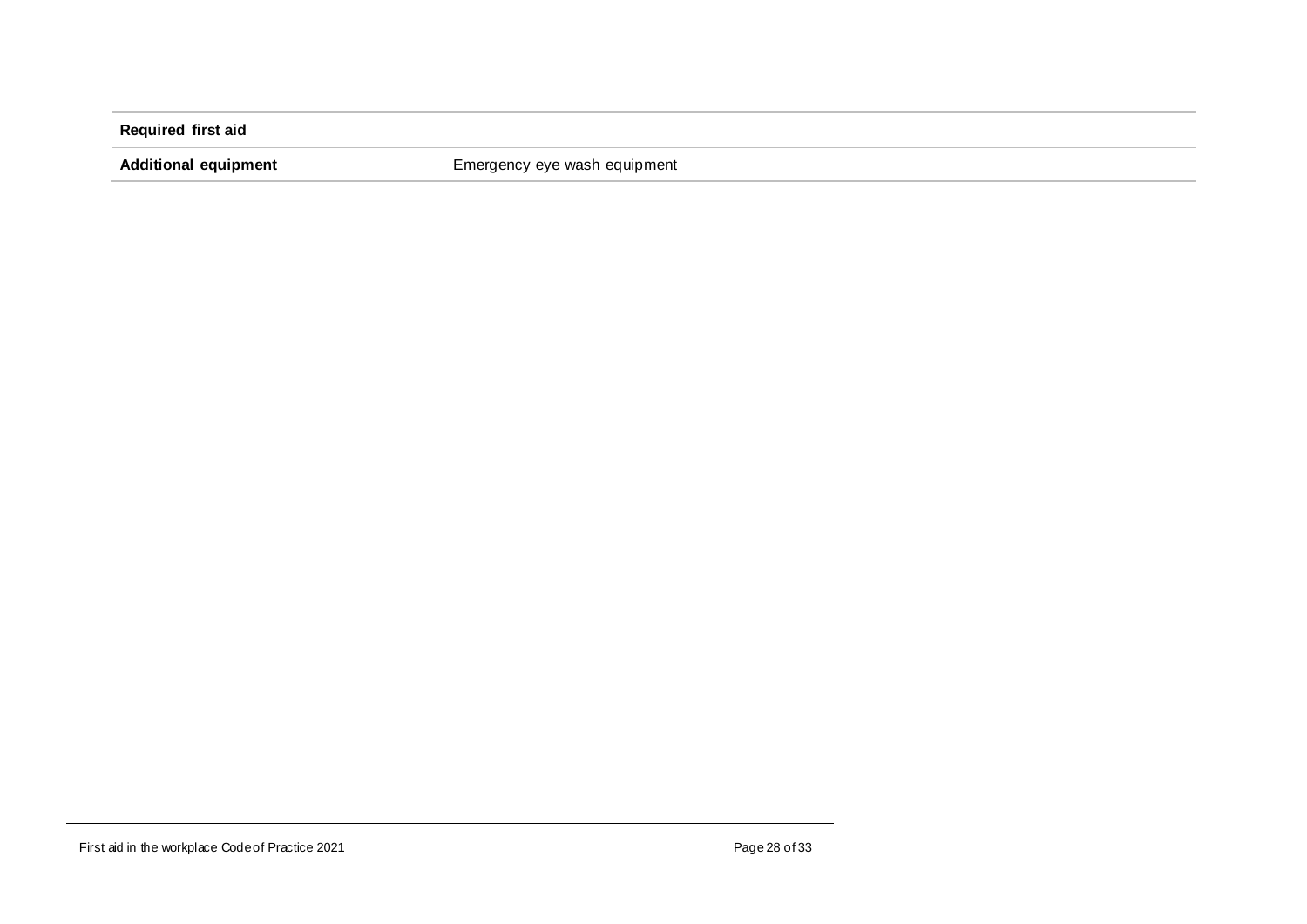**Required first aid**

**Additional equipment** Emergency eye wash equipment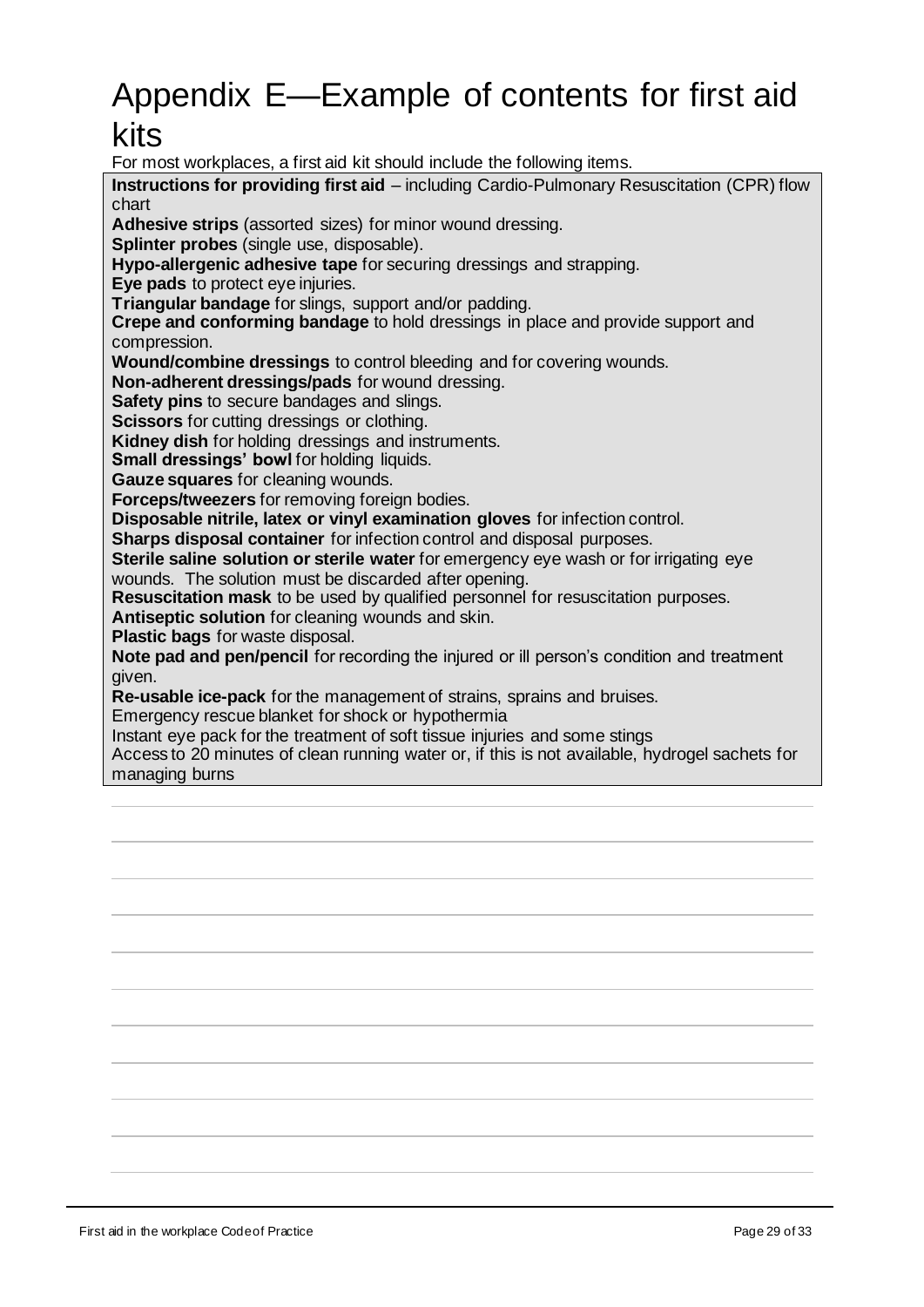# <span id="page-28-0"></span>Appendix E—Example of contents for first aid kits

For most workplaces, a first aid kit should include the following items.

**Instructions for providing first aid** – including Cardio-Pulmonary Resuscitation (CPR) flow chart

**Adhesive strips** (assorted sizes) for minor wound dressing.

**Splinter probes** (single use, disposable).

**Hypo-allergenic adhesive tape** for securing dressings and strapping.

**Eye pads** to protect eye injuries.

**Triangular bandage** for slings, support and/or padding.

**Crepe and conforming bandage** to hold dressings in place and provide support and compression.

**Wound/combine dressings** to control bleeding and for covering wounds.

**Non-adherent dressings/pads** for wound dressing.

**Safety pins** to secure bandages and slings.

**Scissors** for cutting dressings or clothing.

**Kidney dish** for holding dressings and instruments.

**Small dressings' bowl for holding liquids.** 

**Gauze squares** for cleaning wounds.

**Forceps/tweezers** for removing foreign bodies.

**Disposable nitrile, latex or vinyl examination gloves** for infection control.

**Sharps disposal container** for infection control and disposal purposes.

**Sterile saline solution or sterile water** for emergency eye wash or for irrigating eye wounds. The solution must be discarded after opening.

**Resuscitation mask** to be used by qualified personnel for resuscitation purposes.

**Antiseptic solution** for cleaning wounds and skin.

**Plastic bags** for waste disposal.

**Note pad and pen/pencil** for recording the injured or ill person's condition and treatment given.

**Re-usable ice-pack** for the management of strains, sprains and bruises.

Emergency rescue blanket for shock or hypothermia

Instant eye pack for the treatment of soft tissue injuries and some stings

Access to 20 minutes of clean running water or, if this is not available, hydrogel sachets for managing burns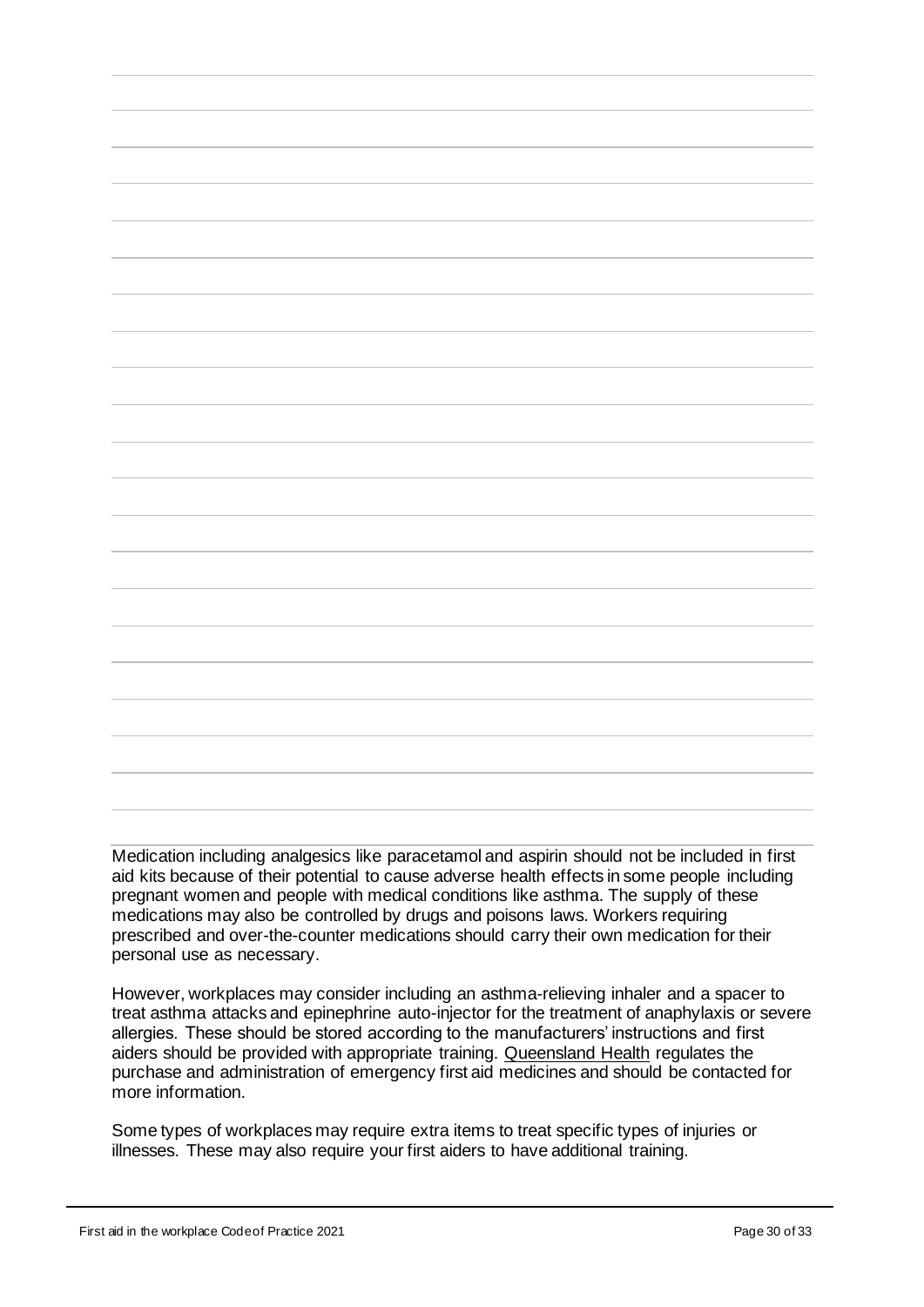Medication including analgesics like paracetamol and aspirin should not be included in first aid kits because of their potential to cause adverse health effects in some people including pregnant women and people with medical conditions like asthma. The supply of these medications may also be controlled by drugs and poisons laws. Workers requiring prescribed and over-the-counter medications should carry their own medication for their personal use as necessary.

However, workplaces may consider including an asthma-relieving inhaler and a spacer to treat asthma attacks and epinephrine auto-injector for the treatment of anaphylaxis or severe allergies. These should be stored according to the manufacturers' instructions and first aiders should be provided with appropriate training. [Queensland Health](https://www.health.qld.gov.au/__data/assets/pdf_file/0020/443801/fs-25-asthma-first-aid.pdf) regulates the purchase and administration of emergency first aid medicines and should be contacted for more information.

Some types of workplaces may require extra items to treat specific types of injuries or illnesses. These may also require your first aiders to have additional training.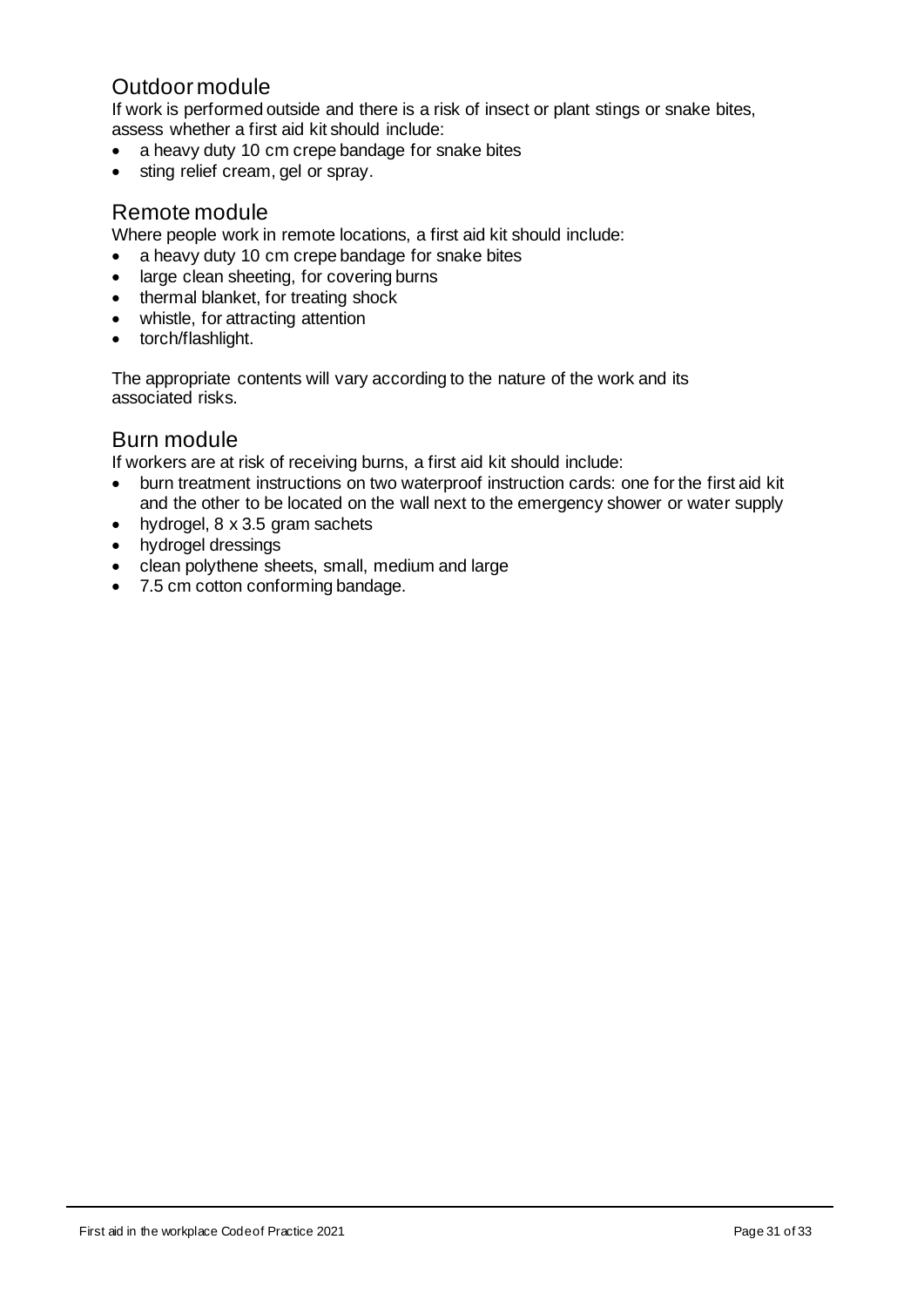## <span id="page-30-0"></span>Outdoor module

If work is performed outside and there is a risk of insect or plant stings or snake bites, assess whether a first aid kit should include:

- a heavy duty 10 cm crepe bandage for snake bites
- sting relief cream, gel or spray.

## <span id="page-30-1"></span>Remote module

Where people work in remote locations, a first aid kit should include:

- a heavy duty 10 cm crepe bandage for snake bites
- large clean sheeting, for covering burns
- thermal blanket, for treating shock
- whistle, for attracting attention
- torch/flashlight.

The appropriate contents will vary according to the nature of the work and its associated risks.

## <span id="page-30-2"></span>Burn module

If workers are at risk of receiving burns, a first aid kit should include:

- burn treatment instructions on two waterproof instruction cards: one for the first aid kit and the other to be located on the wall next to the emergency shower or water supply
- hydrogel, 8 x 3.5 gram sachets
- hydrogel dressings
- clean polythene sheets, small, medium and large
- 7.5 cm cotton conforming bandage.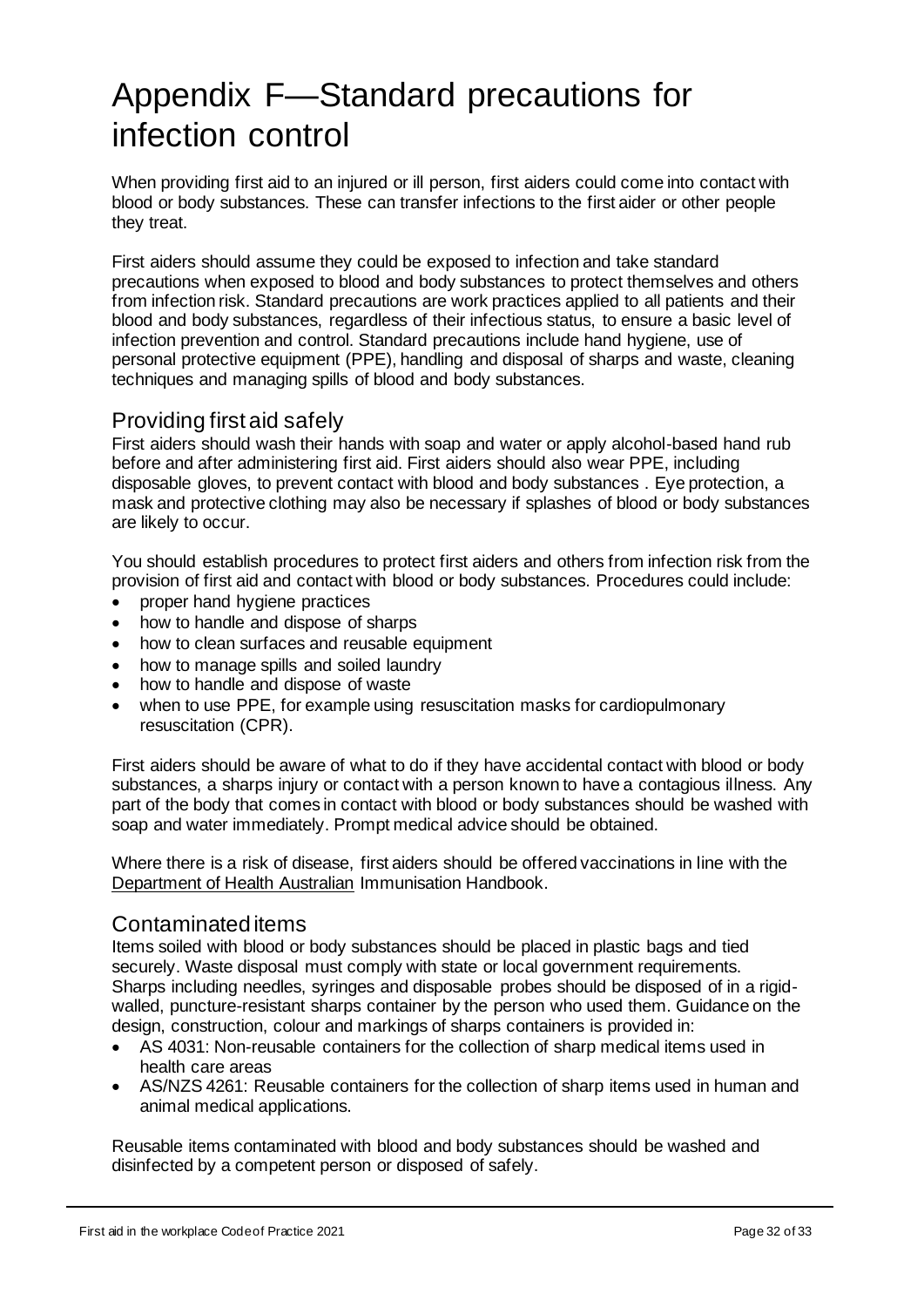# <span id="page-31-0"></span>Appendix F—Standard precautions for infection control

When providing first aid to an injured or ill person, first aiders could come into contact with blood or body substances. These can transfer infections to the first aider or other people they treat.

First aiders should assume they could be exposed to infection and take standard precautions when exposed to blood and body substances to protect themselves and others from infection risk. Standard precautions are work practices applied to all patients and their blood and body substances, regardless of their infectious status, to ensure a basic level of infection prevention and control. Standard precautions include hand hygiene, use of personal protective equipment (PPE), handling and disposal of sharps and waste, cleaning techniques and managing spills of blood and body substances.

## <span id="page-31-1"></span>Providing first aid safely

First aiders should wash their hands with soap and water or apply alcohol-based hand rub before and after administering first aid. First aiders should also wear PPE, including disposable gloves, to prevent contact with blood and body substances . Eye protection, a mask and protective clothing may also be necessary if splashes of blood or body substances are likely to occur.

You should establish procedures to protect first aiders and others from infection risk from the provision of first aid and contact with blood or body substances. Procedures could include:

- proper hand hygiene practices
- how to handle and dispose of sharps
- how to clean surfaces and reusable equipment
- how to manage spills and soiled laundry
- how to handle and dispose of waste
- when to use PPE, for example using resuscitation masks for cardiopulmonary resuscitation (CPR).

First aiders should be aware of what to do if they have accidental contact with blood or body substances, a sharps injury or contact with a person known to have a contagious illness. Any part of the body that comes in contact with blood or body substances should be washed with soap and water immediately. Prompt medical advice should be obtained.

Where there is a risk of disease, first aiders should be offered vaccinations in line with the [Department of Health Australian](https://www.health.gov.au/) Immunisation Handbook.

## <span id="page-31-2"></span>Contaminated items

Items soiled with blood or body substances should be placed in plastic bags and tied securely. Waste disposal must comply with state or local government requirements. Sharps including needles, syringes and disposable probes should be disposed of in a rigidwalled, puncture-resistant sharps container by the person who used them. Guidance on the design, construction, colour and markings of sharps containers is provided in:

- AS 4031: Non-reusable containers for the collection of sharp medical items used in health care areas
- AS/NZS 4261: Reusable containers for the collection of sharp items used in human and animal medical applications.

Reusable items contaminated with blood and body substances should be washed and disinfected by a competent person or disposed of safely.